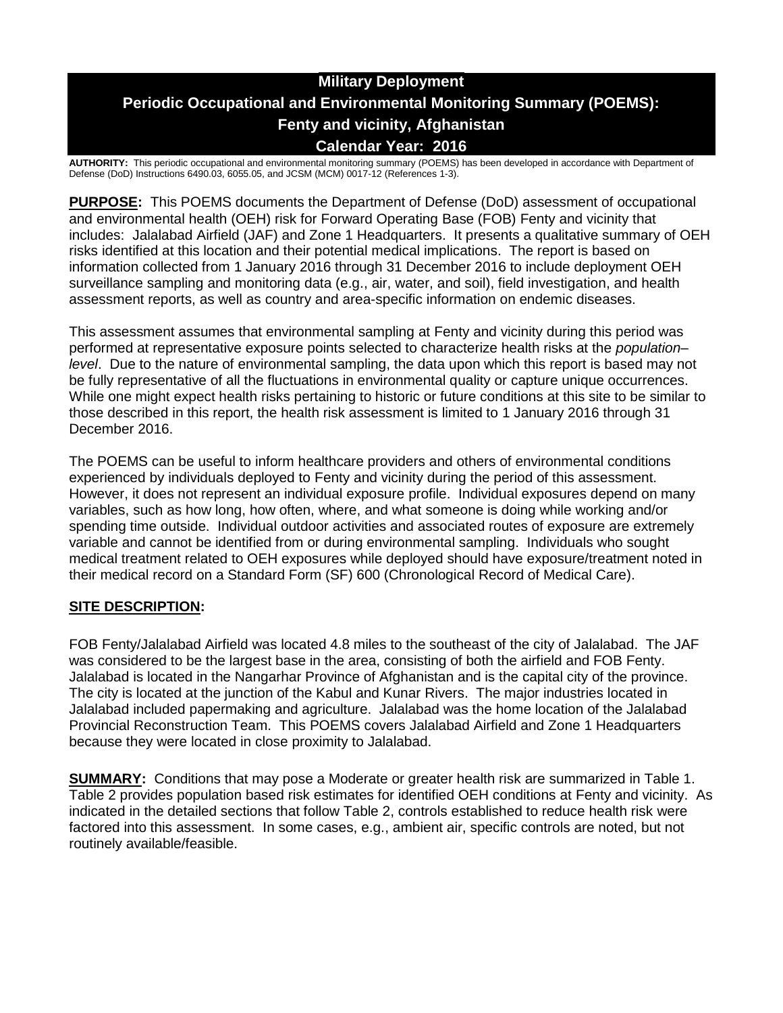# **Military Deployment Periodic Occupational and Environmental Monitoring Summary (POEMS): Fenty and vicinity, Afghanistan Calendar Year: 2016**

**AUTHORITY:** This periodic occupational and environmental monitoring summary (POEMS) has been developed in accordance with Department of Defense (DoD) Instructions 6490.03, 6055.05, and JCSM (MCM) 0017-12 (References 1-3).

**PURPOSE:** This POEMS documents the Department of Defense (DoD) assessment of occupational and environmental health (OEH) risk for Forward Operating Base (FOB) Fenty and vicinity that includes: Jalalabad Airfield (JAF) and Zone 1 Headquarters. It presents a qualitative summary of OEH risks identified at this location and their potential medical implications. The report is based on information collected from 1 January 2016 through 31 December 2016 to include deployment OEH surveillance sampling and monitoring data (e.g., air, water, and soil), field investigation, and health assessment reports, as well as country and area-specific information on endemic diseases.

This assessment assumes that environmental sampling at Fenty and vicinity during this period was performed at representative exposure points selected to characterize health risks at the *population– level*. Due to the nature of environmental sampling, the data upon which this report is based may not be fully representative of all the fluctuations in environmental quality or capture unique occurrences. While one might expect health risks pertaining to historic or future conditions at this site to be similar to those described in this report, the health risk assessment is limited to 1 January 2016 through 31 December 2016.

The POEMS can be useful to inform healthcare providers and others of environmental conditions experienced by individuals deployed to Fenty and vicinity during the period of this assessment. However, it does not represent an individual exposure profile. Individual exposures depend on many variables, such as how long, how often, where, and what someone is doing while working and/or spending time outside. Individual outdoor activities and associated routes of exposure are extremely variable and cannot be identified from or during environmental sampling. Individuals who sought medical treatment related to OEH exposures while deployed should have exposure/treatment noted in their medical record on a Standard Form (SF) 600 (Chronological Record of Medical Care).

## **SITE DESCRIPTION:**

FOB Fenty/Jalalabad Airfield was located 4.8 miles to the southeast of the city of Jalalabad. The JAF was considered to be the largest base in the area, consisting of both the airfield and FOB Fenty. Jalalabad is located in the Nangarhar Province of Afghanistan and is the capital city of the province. The city is located at the junction of the Kabul and Kunar Rivers. The major industries located in Jalalabad included papermaking and agriculture. Jalalabad was the home location of the Jalalabad Provincial Reconstruction Team. This POEMS covers Jalalabad Airfield and Zone 1 Headquarters because they were located in close proximity to Jalalabad.

**SUMMARY:** Conditions that may pose a Moderate or greater health risk are summarized in Table 1. Table 2 provides population based risk estimates for identified OEH conditions at Fenty and vicinity. As indicated in the detailed sections that follow Table 2, controls established to reduce health risk were factored into this assessment. In some cases, e.g., ambient air, specific controls are noted, but not routinely available/feasible.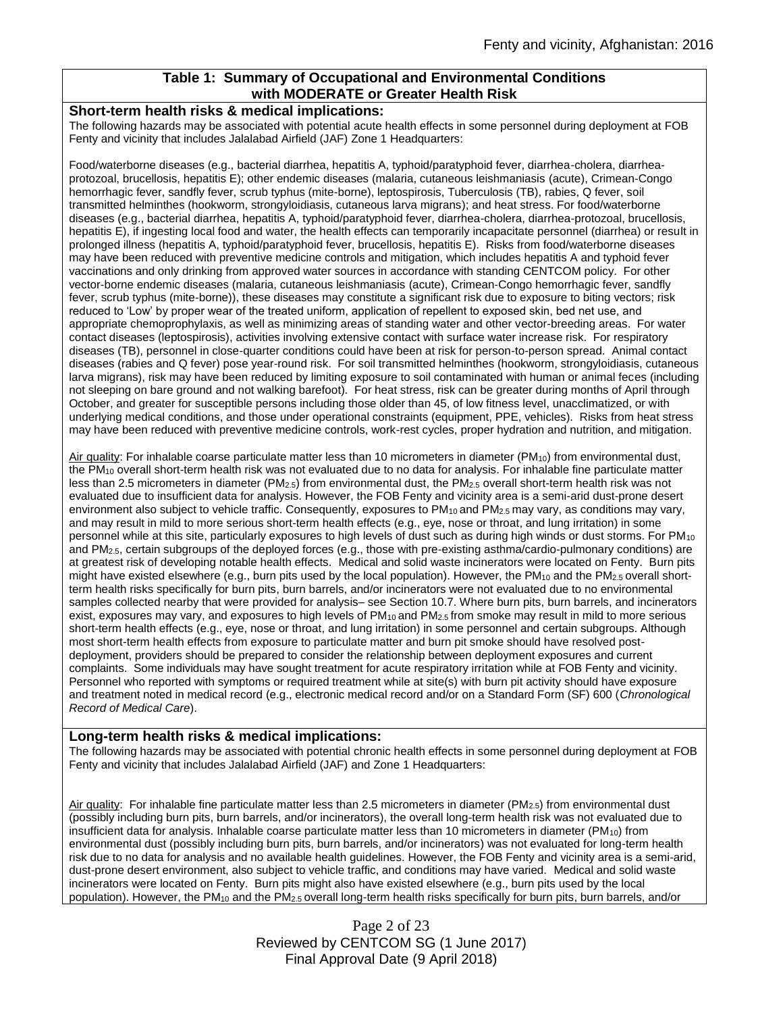## **Table 1: Summary of Occupational and Environmental Conditions with MODERATE or Greater Health Risk**

#### **Short-term health risks & medical implications:**

The following hazards may be associated with potential acute health effects in some personnel during deployment at FOB Fenty and vicinity that includes Jalalabad Airfield (JAF) Zone 1 Headquarters:

Food/waterborne diseases (e.g., bacterial diarrhea, hepatitis A, typhoid/paratyphoid fever, diarrhea-cholera, diarrheaprotozoal, brucellosis, hepatitis E); other endemic diseases (malaria, cutaneous leishmaniasis (acute), Crimean-Congo hemorrhagic fever, sandfly fever, scrub typhus (mite-borne), leptospirosis, Tuberculosis (TB), rabies, Q fever, soil transmitted helminthes (hookworm, strongyloidiasis, cutaneous larva migrans); and heat stress. For food/waterborne diseases (e.g., bacterial diarrhea, hepatitis A, typhoid/paratyphoid fever, diarrhea-cholera, diarrhea-protozoal, brucellosis, hepatitis E), if ingesting local food and water, the health effects can temporarily incapacitate personnel (diarrhea) or result in prolonged illness (hepatitis A, typhoid/paratyphoid fever, brucellosis, hepatitis E). Risks from food/waterborne diseases may have been reduced with preventive medicine controls and mitigation, which includes hepatitis A and typhoid fever vaccinations and only drinking from approved water sources in accordance with standing CENTCOM policy. For other vector-borne endemic diseases (malaria, cutaneous leishmaniasis (acute), Crimean-Congo hemorrhagic fever, sandfly fever, scrub typhus (mite-borne)), these diseases may constitute a significant risk due to exposure to biting vectors; risk reduced to 'Low' by proper wear of the treated uniform, application of repellent to exposed skin, bed net use, and appropriate chemoprophylaxis, as well as minimizing areas of standing water and other vector-breeding areas. For water contact diseases (leptospirosis), activities involving extensive contact with surface water increase risk. For respiratory diseases (TB), personnel in close-quarter conditions could have been at risk for person-to-person spread. Animal contact diseases (rabies and Q fever) pose year-round risk. For soil transmitted helminthes (hookworm, strongyloidiasis, cutaneous larva migrans), risk may have been reduced by limiting exposure to soil contaminated with human or animal feces (including not sleeping on bare ground and not walking barefoot). For heat stress, risk can be greater during months of April through October, and greater for susceptible persons including those older than 45, of low fitness level, unacclimatized, or with underlying medical conditions, and those under operational constraints (equipment, PPE, vehicles). Risks from heat stress may have been reduced with preventive medicine controls, work-rest cycles, proper hydration and nutrition, and mitigation.

Air quality: For inhalable coarse particulate matter less than 10 micrometers in diameter ( $PM_{10}$ ) from environmental dust, the PM<sup>10</sup> overall short-term health risk was not evaluated due to no data for analysis. For inhalable fine particulate matter less than 2.5 micrometers in diameter (PM<sub>2.5</sub>) from environmental dust, the PM<sub>2.5</sub> overall short-term health risk was not evaluated due to insufficient data for analysis. However, the FOB Fenty and vicinity area is a semi-arid dust-prone desert environment also subject to vehicle traffic. Consequently, exposures to PM<sub>10</sub> and PM<sub>2.5</sub> may vary, as conditions may vary, and may result in mild to more serious short-term health effects (e.g., eye, nose or throat, and lung irritation) in some personnel while at this site, particularly exposures to high levels of dust such as during high winds or dust storms. For PM<sup>10</sup> and PM2.5, certain subgroups of the deployed forces (e.g., those with pre-existing asthma/cardio-pulmonary conditions) are at greatest risk of developing notable health effects. Medical and solid waste incinerators were located on Fenty. Burn pits might have existed elsewhere (e.g., burn pits used by the local population). However, the PM<sub>10</sub> and the PM<sub>2.5</sub> overall shortterm health risks specifically for burn pits, burn barrels, and/or incinerators were not evaluated due to no environmental samples collected nearby that were provided for analysis– see Section 10.7. Where burn pits, burn barrels, and incinerators exist, exposures may vary, and exposures to high levels of PM<sub>10</sub> and PM<sub>2.5</sub> from smoke may result in mild to more serious short-term health effects (e.g., eye, nose or throat, and lung irritation) in some personnel and certain subgroups. Although most short-term health effects from exposure to particulate matter and burn pit smoke should have resolved postdeployment, providers should be prepared to consider the relationship between deployment exposures and current complaints. Some individuals may have sought treatment for acute respiratory irritation while at FOB Fenty and vicinity. Personnel who reported with symptoms or required treatment while at site(s) with burn pit activity should have exposure and treatment noted in medical record (e.g., electronic medical record and/or on a Standard Form (SF) 600 (*Chronological Record of Medical Care*).

#### **Long-term health risks & medical implications:**

The following hazards may be associated with potential chronic health effects in some personnel during deployment at FOB Fenty and vicinity that includes Jalalabad Airfield (JAF) and Zone 1 Headquarters:

Air quality: For inhalable fine particulate matter less than 2.5 micrometers in diameter (PM<sub>2.5</sub>) from environmental dust (possibly including burn pits, burn barrels, and/or incinerators), the overall long-term health risk was not evaluated due to insufficient data for analysis. Inhalable coarse particulate matter less than 10 micrometers in diameter (PM<sub>10</sub>) from environmental dust (possibly including burn pits, burn barrels, and/or incinerators) was not evaluated for long-term health risk due to no data for analysis and no available health guidelines. However, the FOB Fenty and vicinity area is a semi-arid, dust-prone desert environment, also subject to vehicle traffic, and conditions may have varied. Medical and solid waste incinerators were located on Fenty. Burn pits might also have existed elsewhere (e.g., burn pits used by the local population). However, the PM<sub>10</sub> and the PM<sub>2.5</sub> overall long-term health risks specifically for burn pits, burn barrels, and/or

> Page 2 of 23 Reviewed by CENTCOM SG (1 June 2017) Final Approval Date (9 April 2018)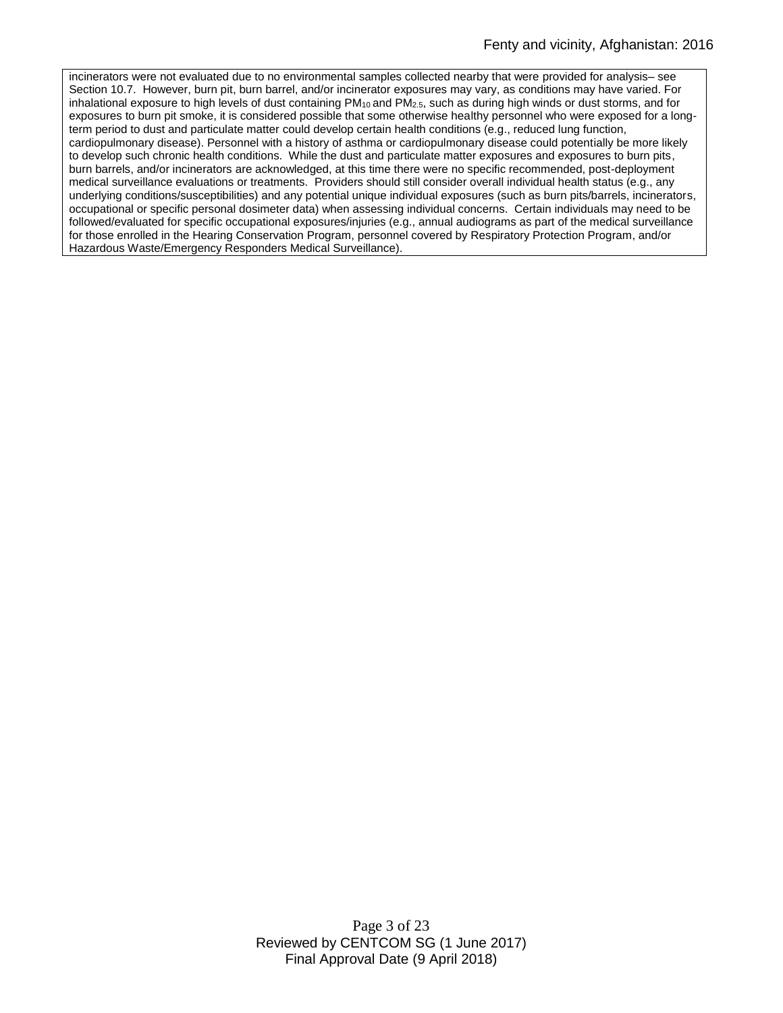incinerators were not evaluated due to no environmental samples collected nearby that were provided for analysis– see Section 10.7. However, burn pit, burn barrel, and/or incinerator exposures may vary, as conditions may have varied. For inhalational exposure to high levels of dust containing PM<sub>10</sub> and PM<sub>2.5</sub>, such as during high winds or dust storms, and for exposures to burn pit smoke, it is considered possible that some otherwise healthy personnel who were exposed for a longterm period to dust and particulate matter could develop certain health conditions (e.g., reduced lung function, cardiopulmonary disease). Personnel with a history of asthma or cardiopulmonary disease could potentially be more likely to develop such chronic health conditions. While the dust and particulate matter exposures and exposures to burn pits, burn barrels, and/or incinerators are acknowledged, at this time there were no specific recommended, post-deployment medical surveillance evaluations or treatments. Providers should still consider overall individual health status (e.g., any underlying conditions/susceptibilities) and any potential unique individual exposures (such as burn pits/barrels, incinerators, occupational or specific personal dosimeter data) when assessing individual concerns. Certain individuals may need to be followed/evaluated for specific occupational exposures/injuries (e.g., annual audiograms as part of the medical surveillance for those enrolled in the Hearing Conservation Program, personnel covered by Respiratory Protection Program, and/or Hazardous Waste/Emergency Responders Medical Surveillance).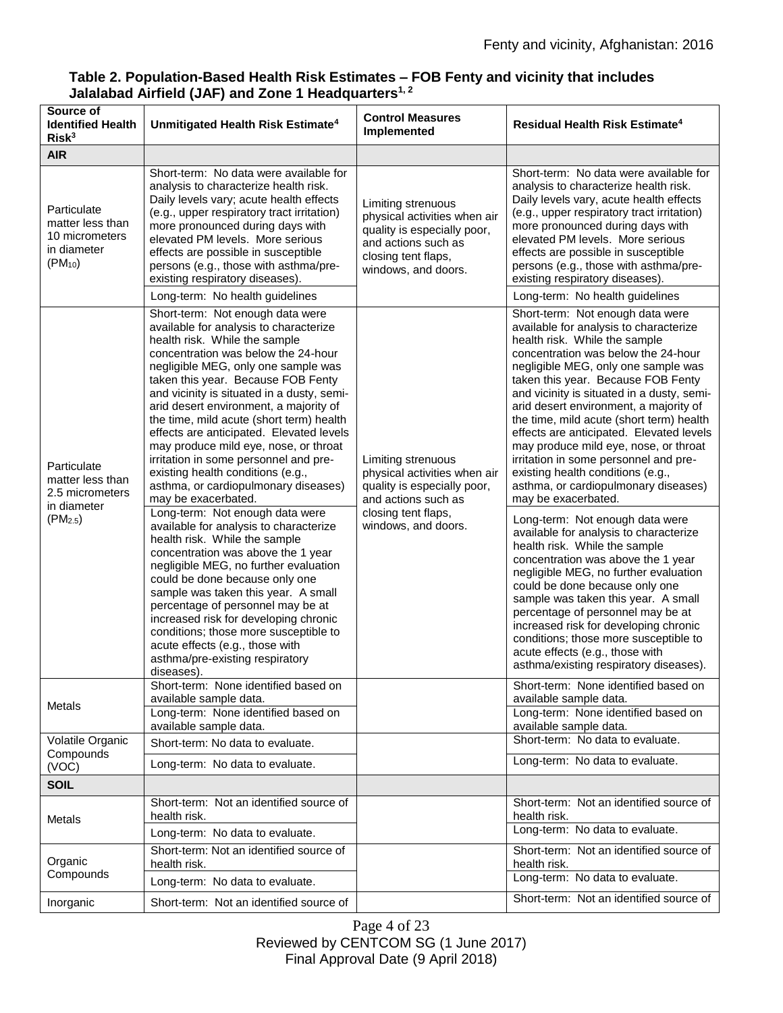| Source of<br><b>Identified Health</b><br>Risk <sup>3</sup>                                | Unmitigated Health Risk Estimate <sup>4</sup>                                                                                                                                                                                                                                                                                                                                                                                                                                                                                                                                                                                                                                                                                                                                                                                                                                                                                                                                                                                                                                          | <b>Control Measures</b><br>Implemented                                                                                                                 | Residual Health Risk Estimate <sup>4</sup>                                                                                                                                                                                                                                                                                                                                                                                                                                                                                                                                                                                                                                                                                                                                                                                                                                                                                                                                                                                                                                      |
|-------------------------------------------------------------------------------------------|----------------------------------------------------------------------------------------------------------------------------------------------------------------------------------------------------------------------------------------------------------------------------------------------------------------------------------------------------------------------------------------------------------------------------------------------------------------------------------------------------------------------------------------------------------------------------------------------------------------------------------------------------------------------------------------------------------------------------------------------------------------------------------------------------------------------------------------------------------------------------------------------------------------------------------------------------------------------------------------------------------------------------------------------------------------------------------------|--------------------------------------------------------------------------------------------------------------------------------------------------------|---------------------------------------------------------------------------------------------------------------------------------------------------------------------------------------------------------------------------------------------------------------------------------------------------------------------------------------------------------------------------------------------------------------------------------------------------------------------------------------------------------------------------------------------------------------------------------------------------------------------------------------------------------------------------------------------------------------------------------------------------------------------------------------------------------------------------------------------------------------------------------------------------------------------------------------------------------------------------------------------------------------------------------------------------------------------------------|
| <b>AIR</b>                                                                                |                                                                                                                                                                                                                                                                                                                                                                                                                                                                                                                                                                                                                                                                                                                                                                                                                                                                                                                                                                                                                                                                                        |                                                                                                                                                        |                                                                                                                                                                                                                                                                                                                                                                                                                                                                                                                                                                                                                                                                                                                                                                                                                                                                                                                                                                                                                                                                                 |
| Particulate<br>matter less than<br>10 micrometers<br>in diameter<br>$(PM_{10})$           | Short-term: No data were available for<br>analysis to characterize health risk.<br>Daily levels vary; acute health effects<br>(e.g., upper respiratory tract irritation)<br>more pronounced during days with<br>elevated PM levels. More serious<br>effects are possible in susceptible<br>persons (e.g., those with asthma/pre-<br>existing respiratory diseases).                                                                                                                                                                                                                                                                                                                                                                                                                                                                                                                                                                                                                                                                                                                    | Limiting strenuous<br>physical activities when air<br>quality is especially poor,<br>and actions such as<br>closing tent flaps,<br>windows, and doors. | Short-term: No data were available for<br>analysis to characterize health risk.<br>Daily levels vary, acute health effects<br>(e.g., upper respiratory tract irritation)<br>more pronounced during days with<br>elevated PM levels. More serious<br>effects are possible in susceptible<br>persons (e.g., those with asthma/pre-<br>existing respiratory diseases).                                                                                                                                                                                                                                                                                                                                                                                                                                                                                                                                                                                                                                                                                                             |
|                                                                                           | Long-term: No health guidelines                                                                                                                                                                                                                                                                                                                                                                                                                                                                                                                                                                                                                                                                                                                                                                                                                                                                                                                                                                                                                                                        |                                                                                                                                                        | Long-term: No health guidelines                                                                                                                                                                                                                                                                                                                                                                                                                                                                                                                                                                                                                                                                                                                                                                                                                                                                                                                                                                                                                                                 |
| Particulate<br>matter less than<br>2.5 micrometers<br>in diameter<br>(PM <sub>2.5</sub> ) | Short-term: Not enough data were<br>available for analysis to characterize<br>health risk. While the sample<br>concentration was below the 24-hour<br>negligible MEG, only one sample was<br>taken this year. Because FOB Fenty<br>and vicinity is situated in a dusty, semi-<br>arid desert environment, a majority of<br>the time, mild acute (short term) health<br>effects are anticipated. Elevated levels<br>may produce mild eye, nose, or throat<br>irritation in some personnel and pre-<br>existing health conditions (e.g.,<br>asthma, or cardiopulmonary diseases)<br>may be exacerbated.<br>Long-term: Not enough data were<br>available for analysis to characterize<br>health risk. While the sample<br>concentration was above the 1 year<br>negligible MEG, no further evaluation<br>could be done because only one<br>sample was taken this year. A small<br>percentage of personnel may be at<br>increased risk for developing chronic<br>conditions; those more susceptible to<br>acute effects (e.g., those with<br>asthma/pre-existing respiratory<br>diseases). | Limiting strenuous<br>physical activities when air<br>quality is especially poor,<br>and actions such as<br>closing tent flaps,<br>windows, and doors. | Short-term: Not enough data were<br>available for analysis to characterize<br>health risk. While the sample<br>concentration was below the 24-hour<br>negligible MEG, only one sample was<br>taken this year. Because FOB Fenty<br>and vicinity is situated in a dusty, semi-<br>arid desert environment, a majority of<br>the time, mild acute (short term) health<br>effects are anticipated. Elevated levels<br>may produce mild eye, nose, or throat<br>irritation in some personnel and pre-<br>existing health conditions (e.g.,<br>asthma, or cardiopulmonary diseases)<br>may be exacerbated.<br>Long-term: Not enough data were<br>available for analysis to characterize<br>health risk. While the sample<br>concentration was above the 1 year<br>negligible MEG, no further evaluation<br>could be done because only one<br>sample was taken this year. A small<br>percentage of personnel may be at<br>increased risk for developing chronic<br>conditions; those more susceptible to<br>acute effects (e.g., those with<br>asthma/existing respiratory diseases). |
| Metals                                                                                    | Short-term: None identified based on<br>available sample data.<br>Long-term: None identified based on<br>available sample data.                                                                                                                                                                                                                                                                                                                                                                                                                                                                                                                                                                                                                                                                                                                                                                                                                                                                                                                                                        |                                                                                                                                                        | Short-term: None identified based on<br>available sample data.<br>Long-term: None identified based on<br>available sample data.                                                                                                                                                                                                                                                                                                                                                                                                                                                                                                                                                                                                                                                                                                                                                                                                                                                                                                                                                 |
| Volatile Organic                                                                          | Short-term: No data to evaluate.                                                                                                                                                                                                                                                                                                                                                                                                                                                                                                                                                                                                                                                                                                                                                                                                                                                                                                                                                                                                                                                       |                                                                                                                                                        | Short-term: No data to evaluate.                                                                                                                                                                                                                                                                                                                                                                                                                                                                                                                                                                                                                                                                                                                                                                                                                                                                                                                                                                                                                                                |
| Compounds<br>(VOC)                                                                        | Long-term: No data to evaluate.                                                                                                                                                                                                                                                                                                                                                                                                                                                                                                                                                                                                                                                                                                                                                                                                                                                                                                                                                                                                                                                        |                                                                                                                                                        | Long-term: No data to evaluate.                                                                                                                                                                                                                                                                                                                                                                                                                                                                                                                                                                                                                                                                                                                                                                                                                                                                                                                                                                                                                                                 |
| <b>SOIL</b>                                                                               |                                                                                                                                                                                                                                                                                                                                                                                                                                                                                                                                                                                                                                                                                                                                                                                                                                                                                                                                                                                                                                                                                        |                                                                                                                                                        |                                                                                                                                                                                                                                                                                                                                                                                                                                                                                                                                                                                                                                                                                                                                                                                                                                                                                                                                                                                                                                                                                 |
| Metals                                                                                    | Short-term: Not an identified source of<br>health risk.                                                                                                                                                                                                                                                                                                                                                                                                                                                                                                                                                                                                                                                                                                                                                                                                                                                                                                                                                                                                                                |                                                                                                                                                        | Short-term: Not an identified source of<br>health risk.<br>Long-term: No data to evaluate.                                                                                                                                                                                                                                                                                                                                                                                                                                                                                                                                                                                                                                                                                                                                                                                                                                                                                                                                                                                      |
|                                                                                           | Long-term: No data to evaluate.                                                                                                                                                                                                                                                                                                                                                                                                                                                                                                                                                                                                                                                                                                                                                                                                                                                                                                                                                                                                                                                        |                                                                                                                                                        |                                                                                                                                                                                                                                                                                                                                                                                                                                                                                                                                                                                                                                                                                                                                                                                                                                                                                                                                                                                                                                                                                 |
| Organic<br>Compounds                                                                      | Short-term: Not an identified source of<br>health risk.                                                                                                                                                                                                                                                                                                                                                                                                                                                                                                                                                                                                                                                                                                                                                                                                                                                                                                                                                                                                                                |                                                                                                                                                        | Short-term: Not an identified source of<br>health risk.<br>Long-term: No data to evaluate.                                                                                                                                                                                                                                                                                                                                                                                                                                                                                                                                                                                                                                                                                                                                                                                                                                                                                                                                                                                      |
|                                                                                           | Long-term: No data to evaluate.                                                                                                                                                                                                                                                                                                                                                                                                                                                                                                                                                                                                                                                                                                                                                                                                                                                                                                                                                                                                                                                        |                                                                                                                                                        |                                                                                                                                                                                                                                                                                                                                                                                                                                                                                                                                                                                                                                                                                                                                                                                                                                                                                                                                                                                                                                                                                 |
| Inorganic                                                                                 | Short-term: Not an identified source of                                                                                                                                                                                                                                                                                                                                                                                                                                                                                                                                                                                                                                                                                                                                                                                                                                                                                                                                                                                                                                                |                                                                                                                                                        | Short-term: Not an identified source of                                                                                                                                                                                                                                                                                                                                                                                                                                                                                                                                                                                                                                                                                                                                                                                                                                                                                                                                                                                                                                         |

## **Table 2. Population-Based Health Risk Estimates – FOB Fenty and vicinity that includes Jalalabad Airfield (JAF) and Zone 1 Headquarters1, 2**

Page 4 of 23 Reviewed by CENTCOM SG (1 June 2017) Final Approval Date (9 April 2018)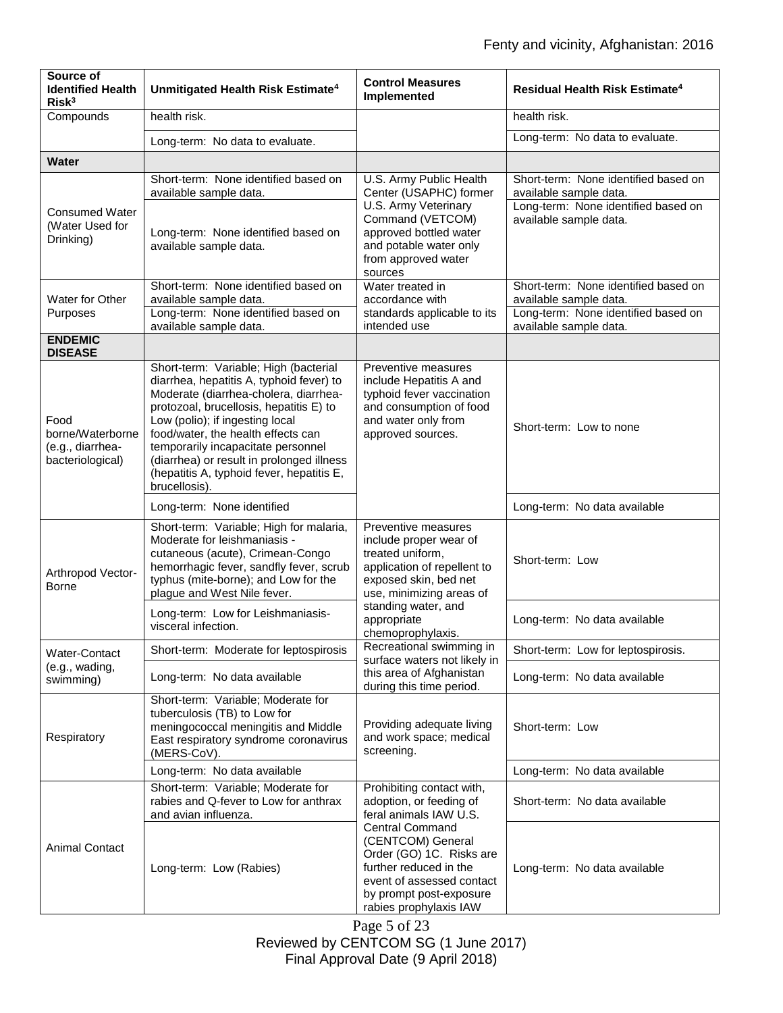| Source of<br><b>Identified Health</b><br>Risk <sup>3</sup>       | Unmitigated Health Risk Estimate <sup>4</sup>                                                                                                                                                                                                                                                                                                                                                   | <b>Control Measures</b><br>Implemented                                                                                                                                                                                                                                | <b>Residual Health Risk Estimate<sup>4</sup></b>                                                                                |
|------------------------------------------------------------------|-------------------------------------------------------------------------------------------------------------------------------------------------------------------------------------------------------------------------------------------------------------------------------------------------------------------------------------------------------------------------------------------------|-----------------------------------------------------------------------------------------------------------------------------------------------------------------------------------------------------------------------------------------------------------------------|---------------------------------------------------------------------------------------------------------------------------------|
| Compounds                                                        | health risk.                                                                                                                                                                                                                                                                                                                                                                                    |                                                                                                                                                                                                                                                                       | health risk.                                                                                                                    |
|                                                                  | Long-term: No data to evaluate.                                                                                                                                                                                                                                                                                                                                                                 |                                                                                                                                                                                                                                                                       | Long-term: No data to evaluate.                                                                                                 |
| <b>Water</b>                                                     |                                                                                                                                                                                                                                                                                                                                                                                                 |                                                                                                                                                                                                                                                                       |                                                                                                                                 |
| <b>Consumed Water</b><br>(Water Used for<br>Drinking)            | Short-term: None identified based on<br>available sample data.<br>Long-term: None identified based on<br>available sample data.                                                                                                                                                                                                                                                                 | U.S. Army Public Health<br>Center (USAPHC) former<br>U.S. Army Veterinary<br>Command (VETCOM)<br>approved bottled water<br>and potable water only<br>from approved water<br>sources                                                                                   | Short-term: None identified based on<br>available sample data.<br>Long-term: None identified based on<br>available sample data. |
| Water for Other                                                  | Short-term: None identified based on<br>available sample data.                                                                                                                                                                                                                                                                                                                                  | Water treated in<br>accordance with                                                                                                                                                                                                                                   | Short-term: None identified based on<br>available sample data.                                                                  |
| Purposes                                                         | Long-term: None identified based on<br>available sample data.                                                                                                                                                                                                                                                                                                                                   | standards applicable to its<br>intended use                                                                                                                                                                                                                           | Long-term: None identified based on<br>available sample data.                                                                   |
| <b>ENDEMIC</b><br><b>DISEASE</b>                                 |                                                                                                                                                                                                                                                                                                                                                                                                 |                                                                                                                                                                                                                                                                       |                                                                                                                                 |
| Food<br>borne/Waterborne<br>(e.g., diarrhea-<br>bacteriological) | Short-term: Variable; High (bacterial<br>diarrhea, hepatitis A, typhoid fever) to<br>Moderate (diarrhea-cholera, diarrhea-<br>protozoal, brucellosis, hepatitis E) to<br>Low (polio); if ingesting local<br>food/water, the health effects can<br>temporarily incapacitate personnel<br>(diarrhea) or result in prolonged illness<br>(hepatitis A, typhoid fever, hepatitis E,<br>brucellosis). | Preventive measures<br>include Hepatitis A and<br>typhoid fever vaccination<br>and consumption of food<br>and water only from<br>approved sources.                                                                                                                    | Short-term: Low to none                                                                                                         |
|                                                                  | Long-term: None identified                                                                                                                                                                                                                                                                                                                                                                      |                                                                                                                                                                                                                                                                       | Long-term: No data available                                                                                                    |
| Arthropod Vector-<br>Borne                                       | Short-term: Variable; High for malaria,<br>Moderate for leishmaniasis -<br>cutaneous (acute), Crimean-Congo<br>hemorrhagic fever, sandfly fever, scrub<br>typhus (mite-borne); and Low for the<br>plague and West Nile fever.                                                                                                                                                                   | Preventive measures<br>include proper wear of<br>treated uniform,<br>application of repellent to<br>exposed skin, bed net<br>use, minimizing areas of<br>standing water, and<br>appropriate<br>chemoprophylaxis.                                                      | Short-term: Low                                                                                                                 |
|                                                                  | Long-term: Low for Leishmaniasis-<br>visceral infection.                                                                                                                                                                                                                                                                                                                                        |                                                                                                                                                                                                                                                                       | Long-term: No data available                                                                                                    |
| Water-Contact                                                    | Short-term: Moderate for leptospirosis                                                                                                                                                                                                                                                                                                                                                          | Recreational swimming in<br>surface waters not likely in                                                                                                                                                                                                              | Short-term: Low for leptospirosis.                                                                                              |
| (e.g., wading,<br>swimming)                                      | Long-term: No data available                                                                                                                                                                                                                                                                                                                                                                    | this area of Afghanistan<br>during this time period.                                                                                                                                                                                                                  | Long-term: No data available                                                                                                    |
| Respiratory                                                      | Short-term: Variable; Moderate for<br>tuberculosis (TB) to Low for<br>meningococcal meningitis and Middle<br>East respiratory syndrome coronavirus<br>(MERS-CoV).                                                                                                                                                                                                                               | Providing adequate living<br>and work space; medical<br>screening.                                                                                                                                                                                                    | Short-term: Low                                                                                                                 |
|                                                                  | Long-term: No data available                                                                                                                                                                                                                                                                                                                                                                    |                                                                                                                                                                                                                                                                       | Long-term: No data available                                                                                                    |
| <b>Animal Contact</b>                                            | Short-term: Variable; Moderate for<br>rabies and Q-fever to Low for anthrax<br>and avian influenza.                                                                                                                                                                                                                                                                                             | Prohibiting contact with,<br>adoption, or feeding of<br>feral animals IAW U.S.<br><b>Central Command</b><br>(CENTCOM) General<br>Order (GO) 1C. Risks are<br>further reduced in the<br>event of assessed contact<br>by prompt post-exposure<br>rabies prophylaxis IAW | Short-term: No data available                                                                                                   |
|                                                                  | Long-term: Low (Rabies)                                                                                                                                                                                                                                                                                                                                                                         |                                                                                                                                                                                                                                                                       | Long-term: No data available                                                                                                    |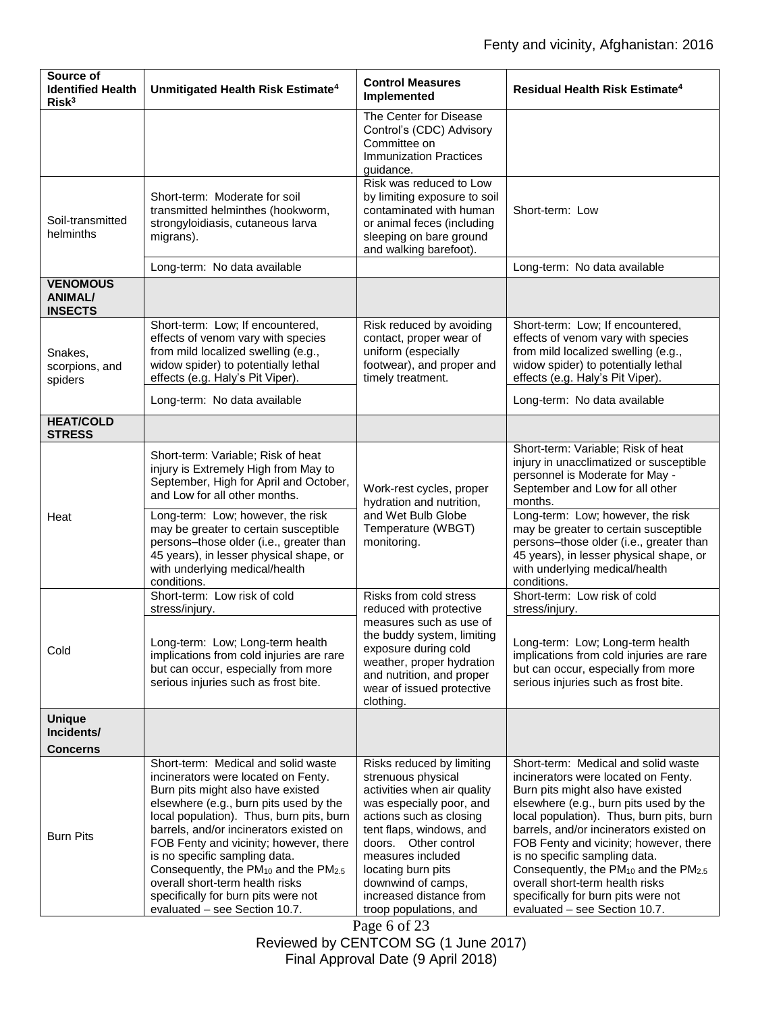| Source of<br><b>Identified Health</b><br>Risk <sup>3</sup> | Unmitigated Health Risk Estimate <sup>4</sup>                                                                                                                                                                                                                                                                                                                                                                                                                   | <b>Control Measures</b><br>Implemented                                                                                                                                                                                                                                             | Residual Health Risk Estimate <sup>4</sup>                                                                                                                                                                                                                                                                                                                                                                                                                      |
|------------------------------------------------------------|-----------------------------------------------------------------------------------------------------------------------------------------------------------------------------------------------------------------------------------------------------------------------------------------------------------------------------------------------------------------------------------------------------------------------------------------------------------------|------------------------------------------------------------------------------------------------------------------------------------------------------------------------------------------------------------------------------------------------------------------------------------|-----------------------------------------------------------------------------------------------------------------------------------------------------------------------------------------------------------------------------------------------------------------------------------------------------------------------------------------------------------------------------------------------------------------------------------------------------------------|
|                                                            |                                                                                                                                                                                                                                                                                                                                                                                                                                                                 | The Center for Disease<br>Control's (CDC) Advisory<br>Committee on<br><b>Immunization Practices</b><br>guidance.                                                                                                                                                                   |                                                                                                                                                                                                                                                                                                                                                                                                                                                                 |
| Soil-transmitted<br>helminths                              | Short-term: Moderate for soil<br>transmitted helminthes (hookworm,<br>strongyloidiasis, cutaneous larva<br>migrans).                                                                                                                                                                                                                                                                                                                                            | Risk was reduced to Low<br>by limiting exposure to soil<br>contaminated with human<br>or animal feces (including<br>sleeping on bare ground<br>and walking barefoot).                                                                                                              | Short-term: Low                                                                                                                                                                                                                                                                                                                                                                                                                                                 |
| <b>VENOMOUS</b><br><b>ANIMAL/</b>                          | Long-term: No data available                                                                                                                                                                                                                                                                                                                                                                                                                                    |                                                                                                                                                                                                                                                                                    | Long-term: No data available                                                                                                                                                                                                                                                                                                                                                                                                                                    |
| <b>INSECTS</b>                                             |                                                                                                                                                                                                                                                                                                                                                                                                                                                                 |                                                                                                                                                                                                                                                                                    |                                                                                                                                                                                                                                                                                                                                                                                                                                                                 |
| Snakes,<br>scorpions, and<br>spiders                       | Short-term: Low; If encountered,<br>effects of venom vary with species<br>from mild localized swelling (e.g.,<br>widow spider) to potentially lethal<br>effects (e.g. Haly's Pit Viper).                                                                                                                                                                                                                                                                        | Risk reduced by avoiding<br>contact, proper wear of<br>uniform (especially<br>footwear), and proper and<br>timely treatment.                                                                                                                                                       | Short-term: Low; If encountered,<br>effects of venom vary with species<br>from mild localized swelling (e.g.,<br>widow spider) to potentially lethal<br>effects (e.g. Haly's Pit Viper).                                                                                                                                                                                                                                                                        |
|                                                            | Long-term: No data available                                                                                                                                                                                                                                                                                                                                                                                                                                    |                                                                                                                                                                                                                                                                                    | Long-term: No data available                                                                                                                                                                                                                                                                                                                                                                                                                                    |
| <b>HEAT/COLD</b><br><b>STRESS</b>                          |                                                                                                                                                                                                                                                                                                                                                                                                                                                                 |                                                                                                                                                                                                                                                                                    |                                                                                                                                                                                                                                                                                                                                                                                                                                                                 |
| Heat                                                       | Short-term: Variable; Risk of heat<br>injury is Extremely High from May to<br>September, High for April and October,<br>and Low for all other months.                                                                                                                                                                                                                                                                                                           | Work-rest cycles, proper<br>hydration and nutrition,<br>and Wet Bulb Globe<br>Temperature (WBGT)<br>monitoring.                                                                                                                                                                    | Short-term: Variable; Risk of heat<br>injury in unacclimatized or susceptible<br>personnel is Moderate for May -<br>September and Low for all other<br>months.                                                                                                                                                                                                                                                                                                  |
|                                                            | Long-term: Low; however, the risk<br>may be greater to certain susceptible<br>persons-those older (i.e., greater than<br>45 years), in lesser physical shape, or<br>with underlying medical/health<br>conditions.                                                                                                                                                                                                                                               |                                                                                                                                                                                                                                                                                    | Long-term: Low; however, the risk<br>may be greater to certain susceptible<br>persons-those older (i.e., greater than<br>45 years), in lesser physical shape, or<br>with underlying medical/health<br>conditions.                                                                                                                                                                                                                                               |
|                                                            | Short-term: Low risk of cold<br>stress/injury.                                                                                                                                                                                                                                                                                                                                                                                                                  | Risks from cold stress<br>reduced with protective<br>measures such as use of<br>the buddy system, limiting<br>exposure during cold<br>weather, proper hydration<br>and nutrition, and proper<br>wear of issued protective<br>clothing.                                             | Short-term: Low risk of cold<br>stress/injury.                                                                                                                                                                                                                                                                                                                                                                                                                  |
| Cold                                                       | Long-term: Low; Long-term health<br>implications from cold injuries are rare<br>but can occur, especially from more<br>serious injuries such as frost bite.                                                                                                                                                                                                                                                                                                     |                                                                                                                                                                                                                                                                                    | Long-term: Low; Long-term health<br>implications from cold injuries are rare<br>but can occur, especially from more<br>serious injuries such as frost bite.                                                                                                                                                                                                                                                                                                     |
| <b>Unique</b><br>Incidents/<br><b>Concerns</b>             |                                                                                                                                                                                                                                                                                                                                                                                                                                                                 |                                                                                                                                                                                                                                                                                    |                                                                                                                                                                                                                                                                                                                                                                                                                                                                 |
|                                                            | Short-term: Medical and solid waste                                                                                                                                                                                                                                                                                                                                                                                                                             | Risks reduced by limiting                                                                                                                                                                                                                                                          | Short-term: Medical and solid waste                                                                                                                                                                                                                                                                                                                                                                                                                             |
| <b>Burn Pits</b>                                           | incinerators were located on Fenty.<br>Burn pits might also have existed<br>elsewhere (e.g., burn pits used by the<br>local population). Thus, burn pits, burn<br>barrels, and/or incinerators existed on<br>FOB Fenty and vicinity; however, there<br>is no specific sampling data.<br>Consequently, the PM <sub>10</sub> and the PM <sub>2.5</sub><br>overall short-term health risks<br>specifically for burn pits were not<br>evaluated - see Section 10.7. | strenuous physical<br>activities when air quality<br>was especially poor, and<br>actions such as closing<br>tent flaps, windows, and<br>doors. Other control<br>measures included<br>locating burn pits<br>downwind of camps,<br>increased distance from<br>troop populations, and | incinerators were located on Fenty.<br>Burn pits might also have existed<br>elsewhere (e.g., burn pits used by the<br>local population). Thus, burn pits, burn<br>barrels, and/or incinerators existed on<br>FOB Fenty and vicinity; however, there<br>is no specific sampling data.<br>Consequently, the PM <sub>10</sub> and the PM <sub>2.5</sub><br>overall short-term health risks<br>specifically for burn pits were not<br>evaluated - see Section 10.7. |

Page 6 of 23 Reviewed by CENTCOM SG (1 June 2017) Final Approval Date (9 April 2018)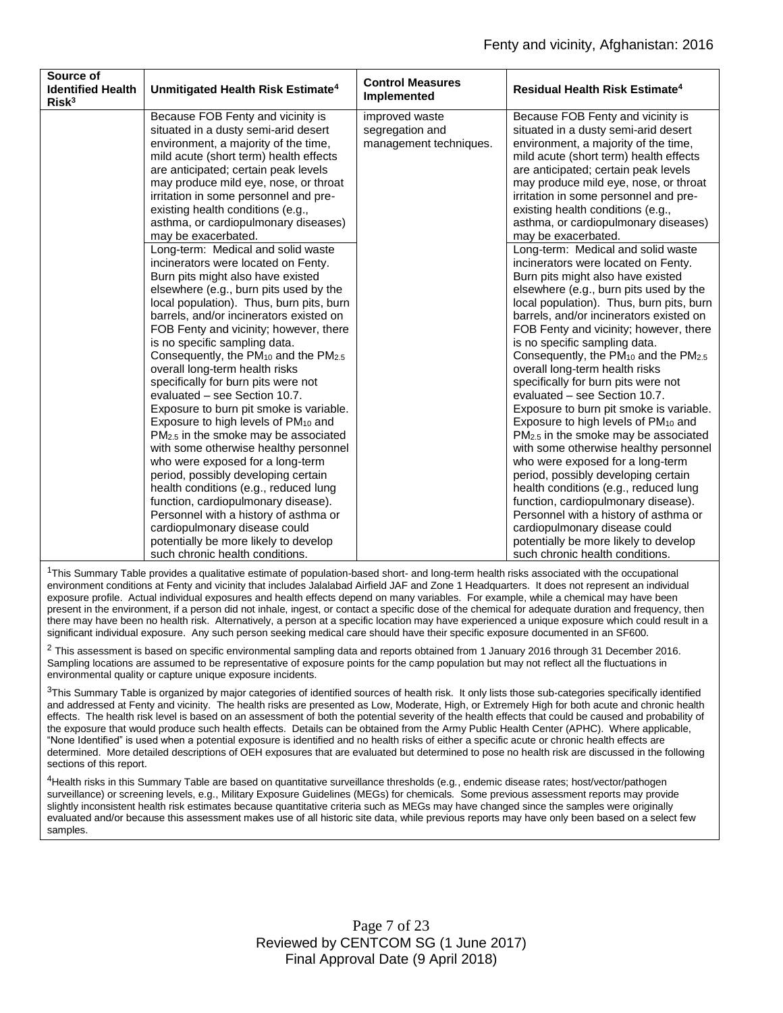| Source of<br><b>Identified Health</b><br>Risk <sup>3</sup> | Unmitigated Health Risk Estimate <sup>4</sup>                                                                                                                                                                                                                                                                                                                                                                                                                                                                                                                                                                                                                                                                                                                                                                                                                                                  | <b>Control Measures</b><br>Implemented                      | <b>Residual Health Risk Estimate<sup>4</sup></b>                                                                                                                                                                                                                                                                                                                                                                                                                                                                                                                                                                                                                                                                                                                                                                                                                                               |
|------------------------------------------------------------|------------------------------------------------------------------------------------------------------------------------------------------------------------------------------------------------------------------------------------------------------------------------------------------------------------------------------------------------------------------------------------------------------------------------------------------------------------------------------------------------------------------------------------------------------------------------------------------------------------------------------------------------------------------------------------------------------------------------------------------------------------------------------------------------------------------------------------------------------------------------------------------------|-------------------------------------------------------------|------------------------------------------------------------------------------------------------------------------------------------------------------------------------------------------------------------------------------------------------------------------------------------------------------------------------------------------------------------------------------------------------------------------------------------------------------------------------------------------------------------------------------------------------------------------------------------------------------------------------------------------------------------------------------------------------------------------------------------------------------------------------------------------------------------------------------------------------------------------------------------------------|
|                                                            | Because FOB Fenty and vicinity is<br>situated in a dusty semi-arid desert<br>environment, a majority of the time,<br>mild acute (short term) health effects<br>are anticipated; certain peak levels<br>may produce mild eye, nose, or throat<br>irritation in some personnel and pre-<br>existing health conditions (e.g.,<br>asthma, or cardiopulmonary diseases)<br>may be exacerbated.<br>Long-term: Medical and solid waste<br>incinerators were located on Fenty.<br>Burn pits might also have existed                                                                                                                                                                                                                                                                                                                                                                                    | improved waste<br>segregation and<br>management techniques. | Because FOB Fenty and vicinity is<br>situated in a dusty semi-arid desert<br>environment, a majority of the time,<br>mild acute (short term) health effects<br>are anticipated; certain peak levels<br>may produce mild eye, nose, or throat<br>irritation in some personnel and pre-<br>existing health conditions (e.g.,<br>asthma, or cardiopulmonary diseases)<br>may be exacerbated.<br>Long-term: Medical and solid waste<br>incinerators were located on Fenty.<br>Burn pits might also have existed                                                                                                                                                                                                                                                                                                                                                                                    |
|                                                            | elsewhere (e.g., burn pits used by the<br>local population). Thus, burn pits, burn<br>barrels, and/or incinerators existed on<br>FOB Fenty and vicinity; however, there<br>is no specific sampling data.<br>Consequently, the PM <sub>10</sub> and the PM <sub>2.5</sub><br>overall long-term health risks<br>specifically for burn pits were not<br>evaluated - see Section 10.7.<br>Exposure to burn pit smoke is variable.<br>Exposure to high levels of PM <sub>10</sub> and<br>PM <sub>2.5</sub> in the smoke may be associated<br>with some otherwise healthy personnel<br>who were exposed for a long-term<br>period, possibly developing certain<br>health conditions (e.g., reduced lung<br>function, cardiopulmonary disease).<br>Personnel with a history of asthma or<br>cardiopulmonary disease could<br>potentially be more likely to develop<br>such chronic health conditions. |                                                             | elsewhere (e.g., burn pits used by the<br>local population). Thus, burn pits, burn<br>barrels, and/or incinerators existed on<br>FOB Fenty and vicinity; however, there<br>is no specific sampling data.<br>Consequently, the PM <sub>10</sub> and the PM <sub>2.5</sub><br>overall long-term health risks<br>specifically for burn pits were not<br>evaluated - see Section 10.7.<br>Exposure to burn pit smoke is variable.<br>Exposure to high levels of PM <sub>10</sub> and<br>PM <sub>2.5</sub> in the smoke may be associated<br>with some otherwise healthy personnel<br>who were exposed for a long-term<br>period, possibly developing certain<br>health conditions (e.g., reduced lung<br>function, cardiopulmonary disease).<br>Personnel with a history of asthma or<br>cardiopulmonary disease could<br>potentially be more likely to develop<br>such chronic health conditions. |

<sup>1</sup>This Summary Table provides a qualitative estimate of population-based short- and long-term health risks associated with the occupational environment conditions at Fenty and vicinity that includes Jalalabad Airfield JAF and Zone 1 Headquarters. It does not represent an individual exposure profile. Actual individual exposures and health effects depend on many variables. For example, while a chemical may have been present in the environment, if a person did not inhale, ingest, or contact a specific dose of the chemical for adequate duration and frequency, then there may have been no health risk. Alternatively, a person at a specific location may have experienced a unique exposure which could result in a significant individual exposure. Any such person seeking medical care should have their specific exposure documented in an SF600.

 $2$  This assessment is based on specific environmental sampling data and reports obtained from 1 January 2016 through 31 December 2016. Sampling locations are assumed to be representative of exposure points for the camp population but may not reflect all the fluctuations in environmental quality or capture unique exposure incidents.

 $3$ This Summary Table is organized by major categories of identified sources of health risk. It only lists those sub-categories specifically identified and addressed at Fenty and vicinity. The health risks are presented as Low, Moderate, High, or Extremely High for both acute and chronic health effects. The health risk level is based on an assessment of both the potential severity of the health effects that could be caused and probability of the exposure that would produce such health effects. Details can be obtained from the Army Public Health Center (APHC). Where applicable, "None Identified" is used when a potential exposure is identified and no health risks of either a specific acute or chronic health effects are determined. More detailed descriptions of OEH exposures that are evaluated but determined to pose no health risk are discussed in the following sections of this report.

4Health risks in this Summary Table are based on quantitative surveillance thresholds (e.g., endemic disease rates; host/vector/pathogen surveillance) or screening levels, e.g., Military Exposure Guidelines (MEGs) for chemicals*.* Some previous assessment reports may provide slightly inconsistent health risk estimates because quantitative criteria such as MEGs may have changed since the samples were originally evaluated and/or because this assessment makes use of all historic site data, while previous reports may have only been based on a select few samples.

> Page 7 of 23 Reviewed by CENTCOM SG (1 June 2017) Final Approval Date (9 April 2018)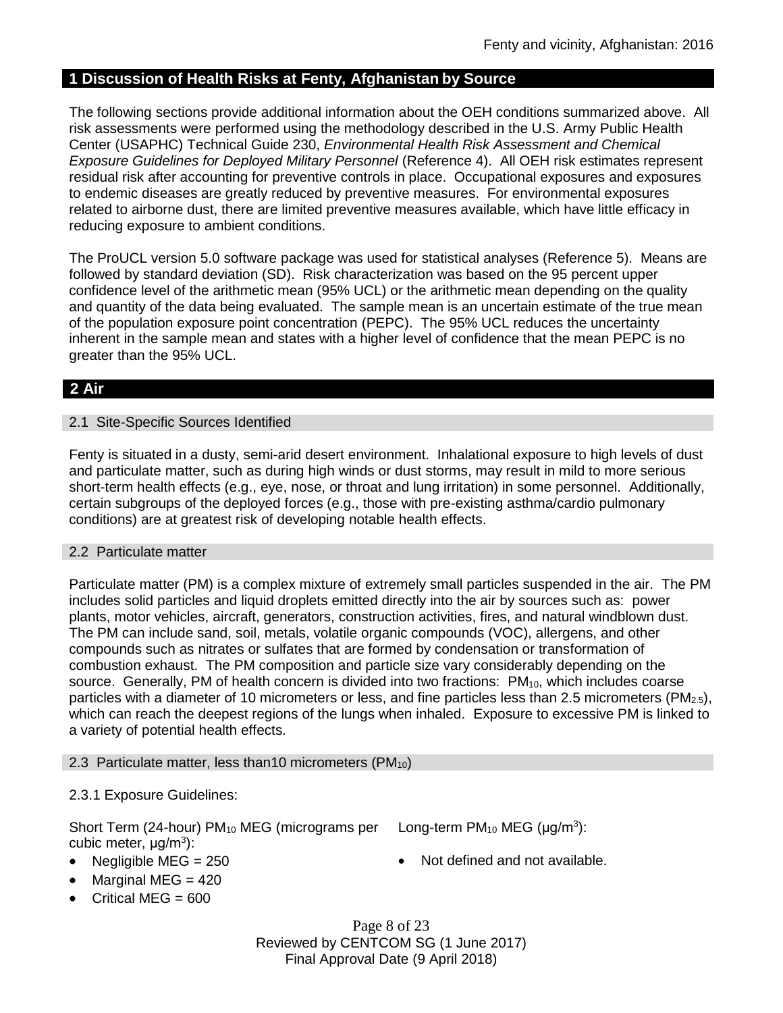## **1 Discussion of Health Risks at Fenty, Afghanistan by Source**

The following sections provide additional information about the OEH conditions summarized above. All risk assessments were performed using the methodology described in the U.S. Army Public Health Center (USAPHC) Technical Guide 230, *Environmental Health Risk Assessment and Chemical Exposure Guidelines for Deployed Military Personnel* (Reference 4). All OEH risk estimates represent residual risk after accounting for preventive controls in place. Occupational exposures and exposures to endemic diseases are greatly reduced by preventive measures. For environmental exposures related to airborne dust, there are limited preventive measures available, which have little efficacy in reducing exposure to ambient conditions.

The ProUCL version 5.0 software package was used for statistical analyses (Reference 5). Means are followed by standard deviation (SD). Risk characterization was based on the 95 percent upper confidence level of the arithmetic mean (95% UCL) or the arithmetic mean depending on the quality and quantity of the data being evaluated. The sample mean is an uncertain estimate of the true mean of the population exposure point concentration (PEPC). The 95% UCL reduces the uncertainty inherent in the sample mean and states with a higher level of confidence that the mean PEPC is no greater than the 95% UCL.

# **2 Air**

## 2.1 Site-Specific Sources Identified

Fenty is situated in a dusty, semi-arid desert environment. Inhalational exposure to high levels of dust and particulate matter, such as during high winds or dust storms, may result in mild to more serious short-term health effects (e.g., eye, nose, or throat and lung irritation) in some personnel. Additionally, certain subgroups of the deployed forces (e.g., those with pre-existing asthma/cardio pulmonary conditions) are at greatest risk of developing notable health effects.

## 2.2 Particulate matter

Particulate matter (PM) is a complex mixture of extremely small particles suspended in the air. The PM includes solid particles and liquid droplets emitted directly into the air by sources such as: power plants, motor vehicles, aircraft, generators, construction activities, fires, and natural windblown dust. The PM can include sand, soil, metals, volatile organic compounds (VOC), allergens, and other compounds such as nitrates or sulfates that are formed by condensation or transformation of combustion exhaust. The PM composition and particle size vary considerably depending on the source. Generally, PM of health concern is divided into two fractions: PM<sub>10</sub>, which includes coarse particles with a diameter of 10 micrometers or less, and fine particles less than 2.5 micrometers ( $PM_{2.5}$ ), which can reach the deepest regions of the lungs when inhaled. Exposure to excessive PM is linked to a variety of potential health effects.

## 2.3 Particulate matter, less than 10 micrometers ( $PM_{10}$ )

## 2.3.1 Exposure Guidelines:

Short Term (24-hour) PM<sub>10</sub> MEG (micrograms per cubic meter, μg/m<sup>3</sup>):

Long-term  $PM_{10}$  MEG ( $\mu$ g/m<sup>3</sup>):

- 
- Negligible MEG = 250 **a** Not defined and not available.
- 
- Marginal MEG  $=$  420
- Critical MEG = 600

Page 8 of 23 Reviewed by CENTCOM SG (1 June 2017) Final Approval Date (9 April 2018)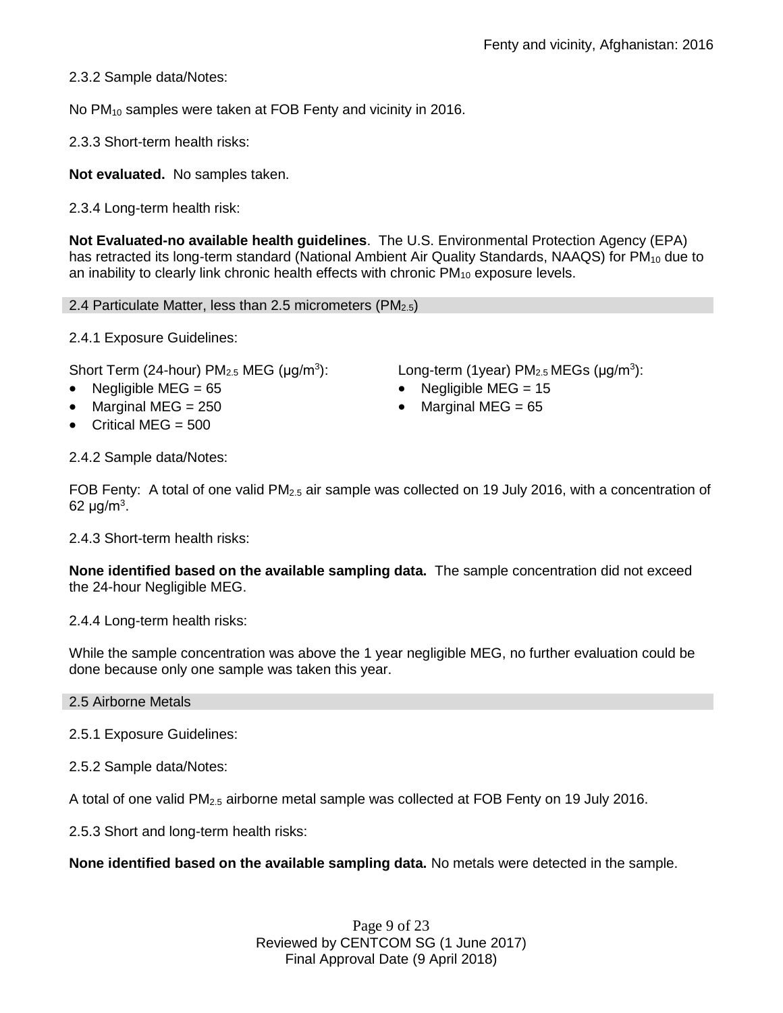2.3.2 Sample data/Notes:

No PM<sub>10</sub> samples were taken at FOB Fenty and vicinity in 2016.

2.3.3 Short-term health risks:

**Not evaluated.** No samples taken.

2.3.4 Long-term health risk:

**Not Evaluated-no available health guidelines**. The U.S. Environmental Protection Agency (EPA) has retracted its long-term standard (National Ambient Air Quality Standards, NAAQS) for  $PM_{10}$  due to an inability to clearly link chronic health effects with chronic  $PM_{10}$  exposure levels.

2.4 Particulate Matter, less than 2.5 micrometers (PM $_{2.5}$ )

2.4.1 Exposure Guidelines:

Short Term (24-hour)  $PM<sub>2.5</sub> MEG (µg/m<sup>3</sup>):$ 

- Negligible MEG = 65 Negligible MEG = 15
- Marginal MEG =  $250$   $\bullet$  Marginal MEG =  $65$
- Critical MEG = 500

 $\sum$  Long-term (1year) PM<sub>2.5</sub> MEGs ( $\mu$ g/m<sup>3</sup>):

- 
- 

2.4.2 Sample data/Notes:

FOB Fenty: A total of one valid  $PM_{2.5}$  air sample was collected on 19 July 2016, with a concentration of 62 μg/m $^3$ .

2.4.3 Short-term health risks:

**None identified based on the available sampling data.** The sample concentration did not exceed the 24-hour Negligible MEG.

2.4.4 Long-term health risks:

While the sample concentration was above the 1 year negligible MEG, no further evaluation could be done because only one sample was taken this year.

2.5 Airborne Metals

2.5.1 Exposure Guidelines:

2.5.2 Sample data/Notes:

A total of one valid PM2.5 airborne metal sample was collected at FOB Fenty on 19 July 2016.

2.5.3 Short and long-term health risks:

**None identified based on the available sampling data.** No metals were detected in the sample.

Page 9 of 23 Reviewed by CENTCOM SG (1 June 2017) Final Approval Date (9 April 2018)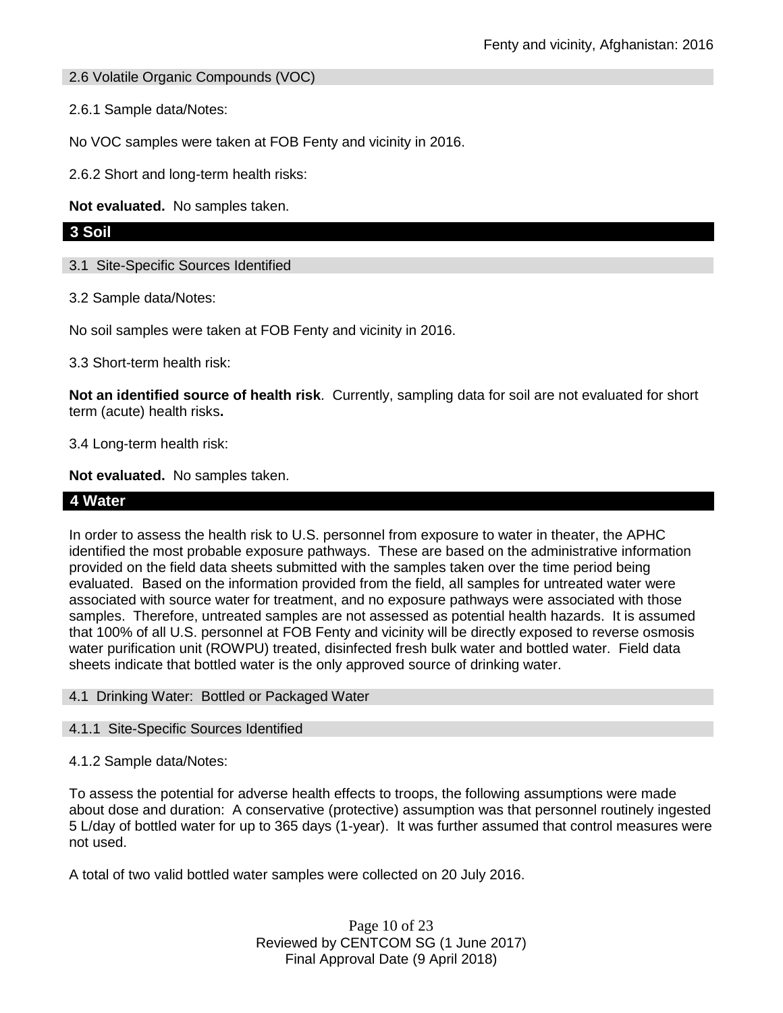2.6 Volatile Organic Compounds (VOC)

2.6.1 Sample data/Notes:

No VOC samples were taken at FOB Fenty and vicinity in 2016.

2.6.2 Short and long-term health risks:

**Not evaluated.** No samples taken.

## **3 Soil**

3.1 Site-Specific Sources Identified

3.2 Sample data/Notes:

No soil samples were taken at FOB Fenty and vicinity in 2016.

3.3 Short-term health risk:

**Not an identified source of health risk**. Currently, sampling data for soil are not evaluated for short term (acute) health risks**.**

3.4 Long-term health risk:

**Not evaluated.** No samples taken.

## **4 Water**

In order to assess the health risk to U.S. personnel from exposure to water in theater, the APHC identified the most probable exposure pathways. These are based on the administrative information provided on the field data sheets submitted with the samples taken over the time period being evaluated. Based on the information provided from the field, all samples for untreated water were associated with source water for treatment, and no exposure pathways were associated with those samples. Therefore, untreated samples are not assessed as potential health hazards. It is assumed that 100% of all U.S. personnel at FOB Fenty and vicinity will be directly exposed to reverse osmosis water purification unit (ROWPU) treated, disinfected fresh bulk water and bottled water. Field data sheets indicate that bottled water is the only approved source of drinking water.

#### 4.1 Drinking Water: Bottled or Packaged Water

#### 4.1.1 Site-Specific Sources Identified

4.1.2 Sample data/Notes:

To assess the potential for adverse health effects to troops, the following assumptions were made about dose and duration: A conservative (protective) assumption was that personnel routinely ingested 5 L/day of bottled water for up to 365 days (1-year). It was further assumed that control measures were not used.

A total of two valid bottled water samples were collected on 20 July 2016.

Page 10 of 23 Reviewed by CENTCOM SG (1 June 2017) Final Approval Date (9 April 2018)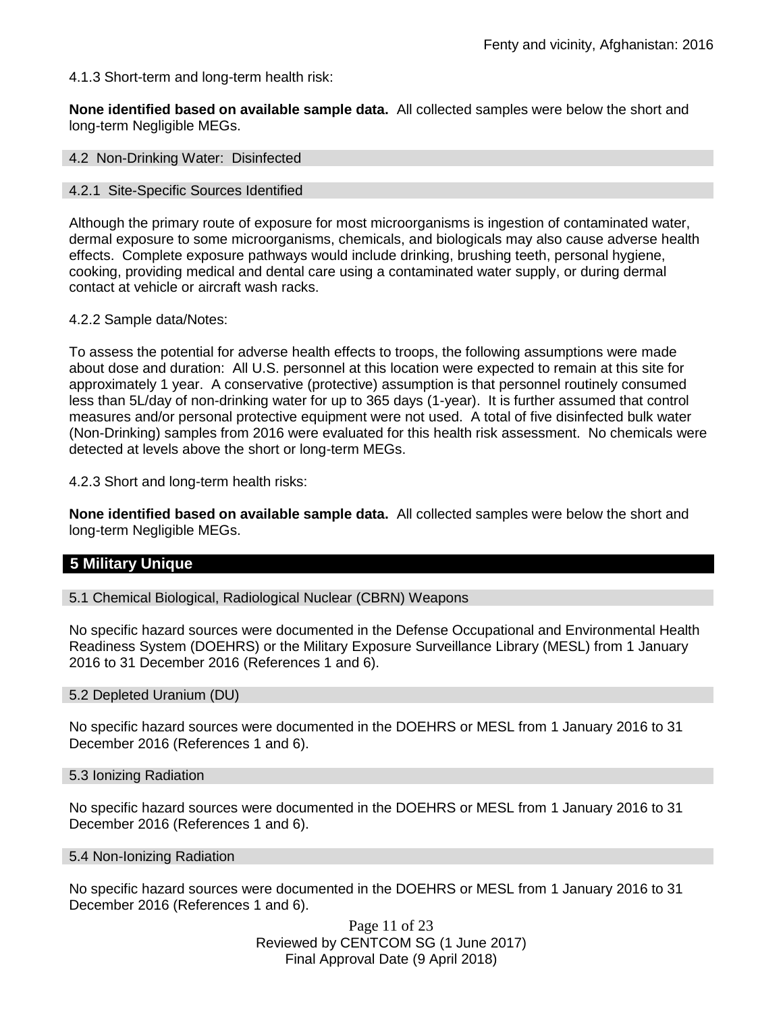4.1.3 Short-term and long-term health risk:

**None identified based on available sample data.** All collected samples were below the short and long-term Negligible MEGs.

4.2 Non-Drinking Water: Disinfected

#### 4.2.1 Site-Specific Sources Identified

Although the primary route of exposure for most microorganisms is ingestion of contaminated water, dermal exposure to some microorganisms, chemicals, and biologicals may also cause adverse health effects. Complete exposure pathways would include drinking, brushing teeth, personal hygiene, cooking, providing medical and dental care using a contaminated water supply, or during dermal contact at vehicle or aircraft wash racks.

#### 4.2.2 Sample data/Notes:

To assess the potential for adverse health effects to troops, the following assumptions were made about dose and duration: All U.S. personnel at this location were expected to remain at this site for approximately 1 year. A conservative (protective) assumption is that personnel routinely consumed less than 5L/day of non-drinking water for up to 365 days (1-year). It is further assumed that control measures and/or personal protective equipment were not used. A total of five disinfected bulk water (Non-Drinking) samples from 2016 were evaluated for this health risk assessment. No chemicals were detected at levels above the short or long-term MEGs.

4.2.3 Short and long-term health risks:

**None identified based on available sample data.** All collected samples were below the short and long-term Negligible MEGs.

## **5 Military Unique**

5.1 Chemical Biological, Radiological Nuclear (CBRN) Weapons

No specific hazard sources were documented in the Defense Occupational and Environmental Health Readiness System (DOEHRS) or the Military Exposure Surveillance Library (MESL) from 1 January 2016 to 31 December 2016 (References 1 and 6).

#### 5.2 Depleted Uranium (DU)

No specific hazard sources were documented in the DOEHRS or MESL from 1 January 2016 to 31 December 2016 (References 1 and 6).

#### 5.3 Ionizing Radiation

No specific hazard sources were documented in the DOEHRS or MESL from 1 January 2016 to 31 December 2016 (References 1 and 6).

#### 5.4 Non-Ionizing Radiation

No specific hazard sources were documented in the DOEHRS or MESL from 1 January 2016 to 31 December 2016 (References 1 and 6).

> Page 11 of 23 Reviewed by CENTCOM SG (1 June 2017) Final Approval Date (9 April 2018)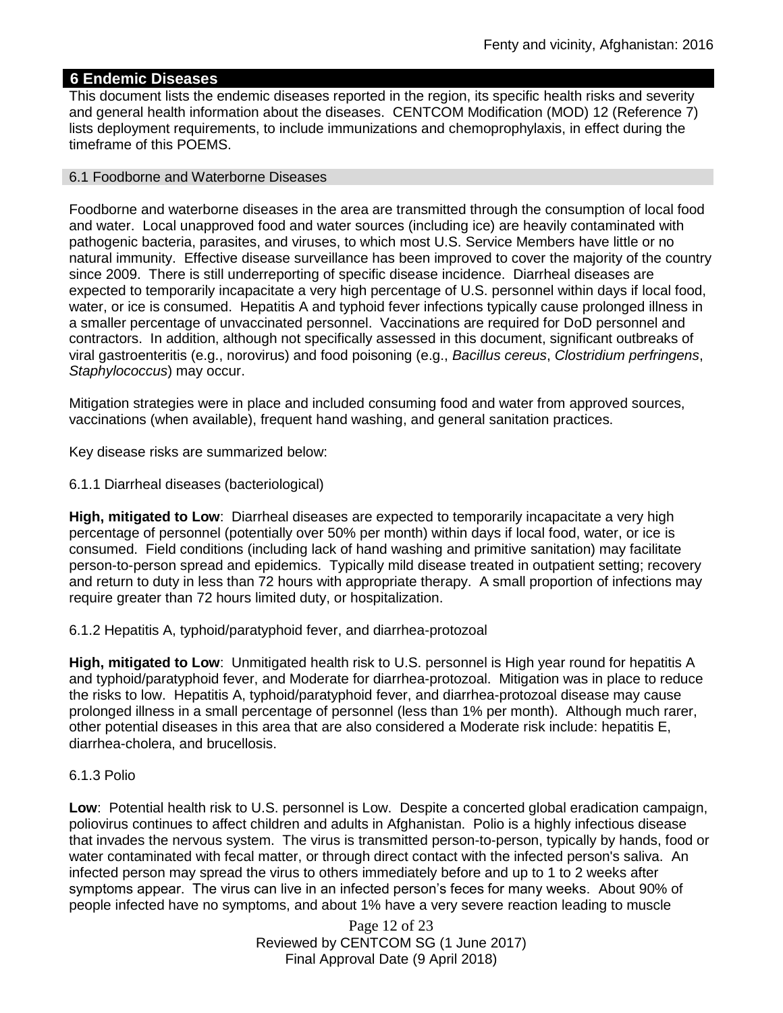## **6 Endemic Diseases**

This document lists the endemic diseases reported in the region, its specific health risks and severity and general health information about the diseases. CENTCOM Modification (MOD) 12 (Reference 7) lists deployment requirements, to include immunizations and chemoprophylaxis, in effect during the timeframe of this POEMS.

#### 6.1 Foodborne and Waterborne Diseases

Foodborne and waterborne diseases in the area are transmitted through the consumption of local food and water. Local unapproved food and water sources (including ice) are heavily contaminated with pathogenic bacteria, parasites, and viruses, to which most U.S. Service Members have little or no natural immunity. Effective disease surveillance has been improved to cover the majority of the country since 2009. There is still underreporting of specific disease incidence. Diarrheal diseases are expected to temporarily incapacitate a very high percentage of U.S. personnel within days if local food, water, or ice is consumed. Hepatitis A and typhoid fever infections typically cause prolonged illness in a smaller percentage of unvaccinated personnel. Vaccinations are required for DoD personnel and contractors. In addition, although not specifically assessed in this document, significant outbreaks of viral gastroenteritis (e.g., norovirus) and food poisoning (e.g., *Bacillus cereus*, *Clostridium perfringens*, *Staphylococcus*) may occur.

Mitigation strategies were in place and included consuming food and water from approved sources, vaccinations (when available), frequent hand washing, and general sanitation practices.

Key disease risks are summarized below:

6.1.1 Diarrheal diseases (bacteriological)

**High, mitigated to Low**: Diarrheal diseases are expected to temporarily incapacitate a very high percentage of personnel (potentially over 50% per month) within days if local food, water, or ice is consumed. Field conditions (including lack of hand washing and primitive sanitation) may facilitate person-to-person spread and epidemics. Typically mild disease treated in outpatient setting; recovery and return to duty in less than 72 hours with appropriate therapy. A small proportion of infections may require greater than 72 hours limited duty, or hospitalization.

6.1.2 Hepatitis A, typhoid/paratyphoid fever, and diarrhea-protozoal

**High, mitigated to Low**: Unmitigated health risk to U.S. personnel is High year round for hepatitis A and typhoid/paratyphoid fever, and Moderate for diarrhea-protozoal. Mitigation was in place to reduce the risks to low. Hepatitis A, typhoid/paratyphoid fever, and diarrhea-protozoal disease may cause prolonged illness in a small percentage of personnel (less than 1% per month). Although much rarer, other potential diseases in this area that are also considered a Moderate risk include: hepatitis E, diarrhea-cholera, and brucellosis.

#### 6.1.3 Polio

**Low**: Potential health risk to U.S. personnel is Low. Despite a concerted global eradication campaign, poliovirus continues to affect children and adults in Afghanistan. Polio is a highly infectious disease that invades the nervous system. The virus is transmitted person-to-person, typically by hands, food or water contaminated with fecal matter, or through direct contact with the infected person's saliva. An infected person may spread the virus to others immediately before and up to 1 to 2 weeks after symptoms appear. The virus can live in an infected person's feces for many weeks. About 90% of people infected have no symptoms, and about 1% have a very severe reaction leading to muscle

> Page 12 of 23 Reviewed by CENTCOM SG (1 June 2017) Final Approval Date (9 April 2018)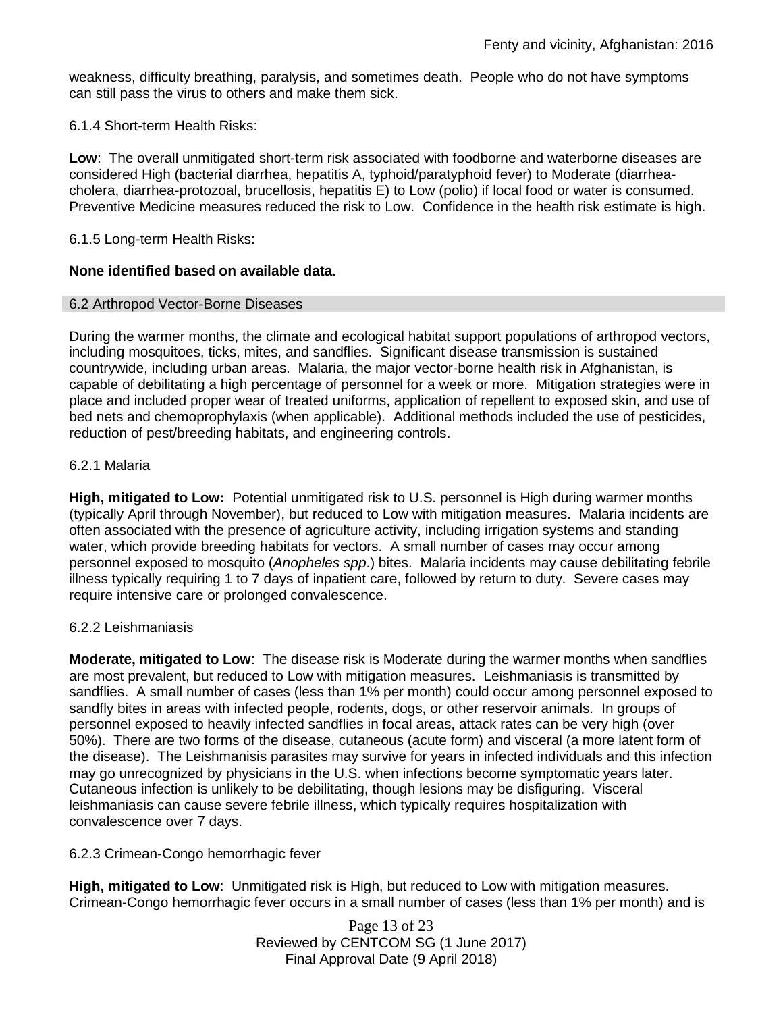weakness, difficulty breathing, paralysis, and sometimes death. People who do not have symptoms can still pass the virus to others and make them sick.

#### 6.1.4 Short-term Health Risks:

**Low**: The overall unmitigated short-term risk associated with foodborne and waterborne diseases are considered High (bacterial diarrhea, hepatitis A, typhoid/paratyphoid fever) to Moderate (diarrheacholera, diarrhea-protozoal, brucellosis, hepatitis E) to Low (polio) if local food or water is consumed. Preventive Medicine measures reduced the risk to Low. Confidence in the health risk estimate is high.

#### 6.1.5 Long-term Health Risks:

## **None identified based on available data.**

#### 6.2 Arthropod Vector-Borne Diseases

During the warmer months, the climate and ecological habitat support populations of arthropod vectors, including mosquitoes, ticks, mites, and sandflies. Significant disease transmission is sustained countrywide, including urban areas. Malaria, the major vector-borne health risk in Afghanistan, is capable of debilitating a high percentage of personnel for a week or more. Mitigation strategies were in place and included proper wear of treated uniforms, application of repellent to exposed skin, and use of bed nets and chemoprophylaxis (when applicable). Additional methods included the use of pesticides, reduction of pest/breeding habitats, and engineering controls.

#### 6.2.1 Malaria

**High, mitigated to Low:** Potential unmitigated risk to U.S. personnel is High during warmer months (typically April through November), but reduced to Low with mitigation measures. Malaria incidents are often associated with the presence of agriculture activity, including irrigation systems and standing water, which provide breeding habitats for vectors. A small number of cases may occur among personnel exposed to mosquito (*Anopheles spp*.) bites. Malaria incidents may cause debilitating febrile illness typically requiring 1 to 7 days of inpatient care, followed by return to duty. Severe cases may require intensive care or prolonged convalescence.

#### 6.2.2 Leishmaniasis

**Moderate, mitigated to Low**: The disease risk is Moderate during the warmer months when sandflies are most prevalent, but reduced to Low with mitigation measures. Leishmaniasis is transmitted by sandflies. A small number of cases (less than 1% per month) could occur among personnel exposed to sandfly bites in areas with infected people, rodents, dogs, or other reservoir animals. In groups of personnel exposed to heavily infected sandflies in focal areas, attack rates can be very high (over 50%). There are two forms of the disease, cutaneous (acute form) and visceral (a more latent form of the disease). The Leishmanisis parasites may survive for years in infected individuals and this infection may go unrecognized by physicians in the U.S. when infections become symptomatic years later. Cutaneous infection is unlikely to be debilitating, though lesions may be disfiguring. Visceral leishmaniasis can cause severe febrile illness, which typically requires hospitalization with convalescence over 7 days.

## 6.2.3 Crimean-Congo hemorrhagic fever

**High, mitigated to Low**: Unmitigated risk is High, but reduced to Low with mitigation measures. Crimean-Congo hemorrhagic fever occurs in a small number of cases (less than 1% per month) and is

> Page 13 of 23 Reviewed by CENTCOM SG (1 June 2017) Final Approval Date (9 April 2018)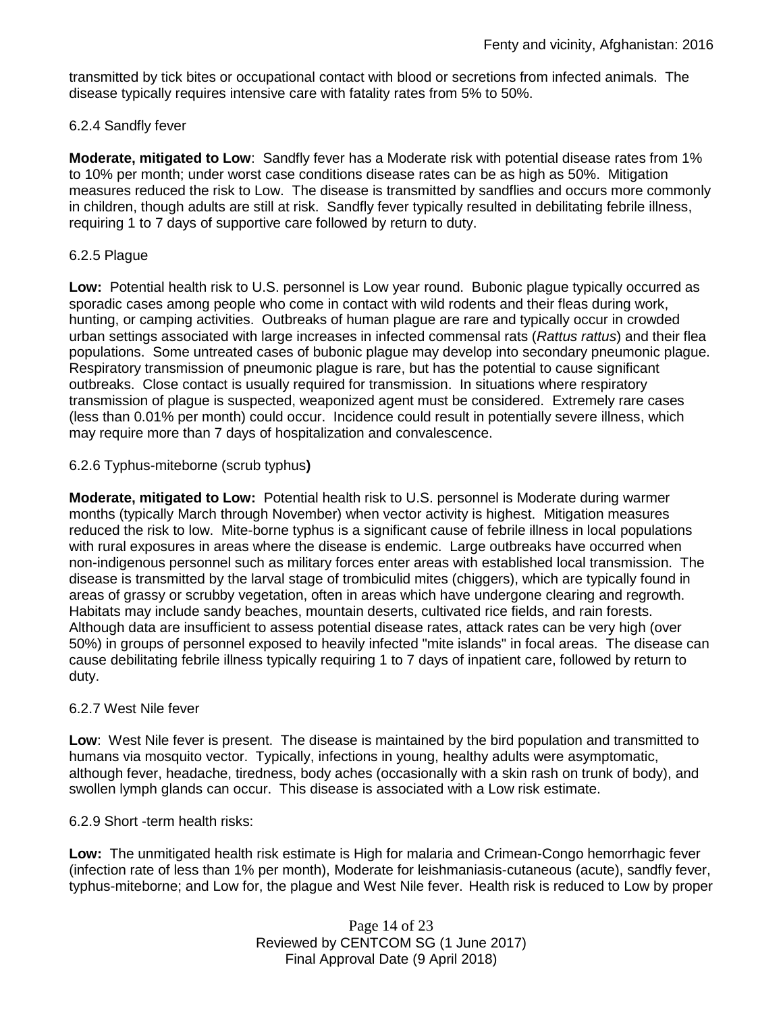transmitted by tick bites or occupational contact with blood or secretions from infected animals. The disease typically requires intensive care with fatality rates from 5% to 50%.

## 6.2.4 Sandfly fever

**Moderate, mitigated to Low**: Sandfly fever has a Moderate risk with potential disease rates from 1% to 10% per month; under worst case conditions disease rates can be as high as 50%. Mitigation measures reduced the risk to Low. The disease is transmitted by sandflies and occurs more commonly in children, though adults are still at risk. Sandfly fever typically resulted in debilitating febrile illness, requiring 1 to 7 days of supportive care followed by return to duty.

#### 6.2.5 Plague

**Low:** Potential health risk to U.S. personnel is Low year round. Bubonic plague typically occurred as sporadic cases among people who come in contact with wild rodents and their fleas during work, hunting, or camping activities. Outbreaks of human plague are rare and typically occur in crowded urban settings associated with large increases in infected commensal rats (*Rattus rattus*) and their flea populations. Some untreated cases of bubonic plague may develop into secondary pneumonic plague. Respiratory transmission of pneumonic plague is rare, but has the potential to cause significant outbreaks. Close contact is usually required for transmission. In situations where respiratory transmission of plague is suspected, weaponized agent must be considered. Extremely rare cases (less than 0.01% per month) could occur. Incidence could result in potentially severe illness, which may require more than 7 days of hospitalization and convalescence.

#### 6.2.6 Typhus-miteborne (scrub typhus**)**

**Moderate, mitigated to Low:** Potential health risk to U.S. personnel is Moderate during warmer months (typically March through November) when vector activity is highest. Mitigation measures reduced the risk to low. Mite-borne typhus is a significant cause of febrile illness in local populations with rural exposures in areas where the disease is endemic. Large outbreaks have occurred when non-indigenous personnel such as military forces enter areas with established local transmission. The disease is transmitted by the larval stage of trombiculid mites (chiggers), which are typically found in areas of grassy or scrubby vegetation, often in areas which have undergone clearing and regrowth. Habitats may include sandy beaches, mountain deserts, cultivated rice fields, and rain forests. Although data are insufficient to assess potential disease rates, attack rates can be very high (over 50%) in groups of personnel exposed to heavily infected "mite islands" in focal areas. The disease can cause debilitating febrile illness typically requiring 1 to 7 days of inpatient care, followed by return to duty.

#### 6.2.7 West Nile fever

**Low**: West Nile fever is present. The disease is maintained by the bird population and transmitted to humans via mosquito vector. Typically, infections in young, healthy adults were asymptomatic, although fever, headache, tiredness, body aches (occasionally with a skin rash on trunk of body), and swollen lymph glands can occur. This disease is associated with a Low risk estimate.

#### 6.2.9 Short -term health risks:

**Low:** The unmitigated health risk estimate is High for malaria and Crimean-Congo hemorrhagic fever (infection rate of less than 1% per month), Moderate for leishmaniasis-cutaneous (acute), sandfly fever, typhus-miteborne; and Low for, the plague and West Nile fever. Health risk is reduced to Low by proper

> Page 14 of 23 Reviewed by CENTCOM SG (1 June 2017) Final Approval Date (9 April 2018)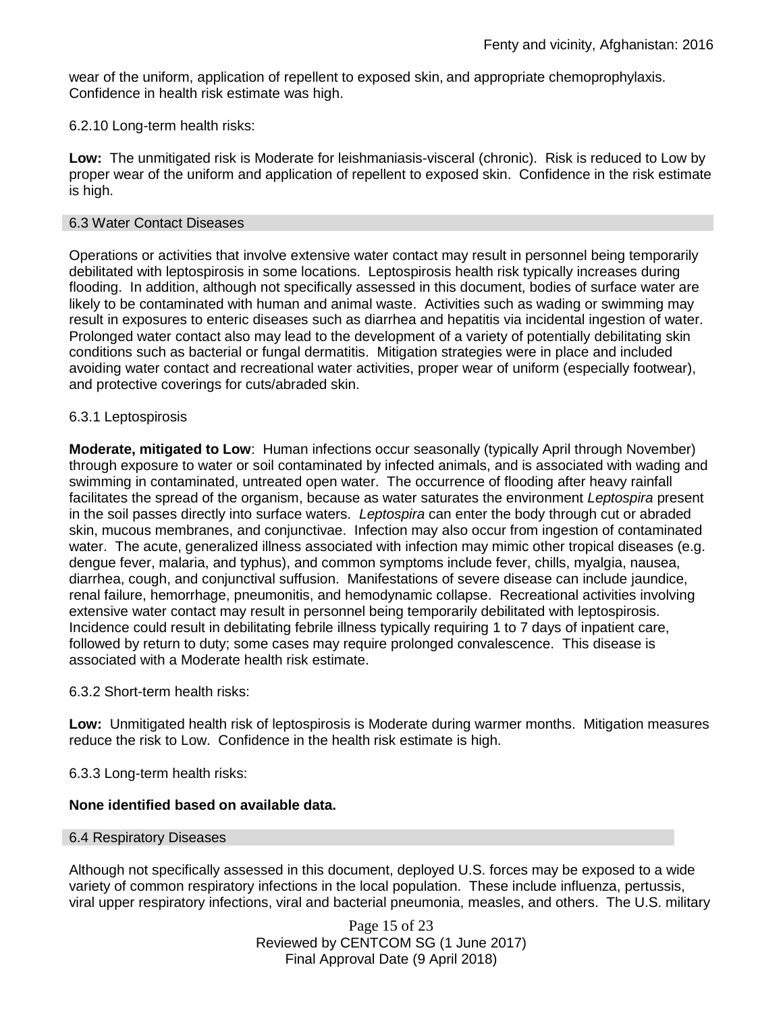wear of the uniform, application of repellent to exposed skin, and appropriate chemoprophylaxis. Confidence in health risk estimate was high.

#### 6.2.10 Long-term health risks:

**Low:** The unmitigated risk is Moderate for leishmaniasis-visceral (chronic). Risk is reduced to Low by proper wear of the uniform and application of repellent to exposed skin. Confidence in the risk estimate is high.

#### 6.3 Water Contact Diseases

Operations or activities that involve extensive water contact may result in personnel being temporarily debilitated with leptospirosis in some locations. Leptospirosis health risk typically increases during flooding. In addition, although not specifically assessed in this document, bodies of surface water are likely to be contaminated with human and animal waste. Activities such as wading or swimming may result in exposures to enteric diseases such as diarrhea and hepatitis via incidental ingestion of water. Prolonged water contact also may lead to the development of a variety of potentially debilitating skin conditions such as bacterial or fungal dermatitis. Mitigation strategies were in place and included avoiding water contact and recreational water activities, proper wear of uniform (especially footwear), and protective coverings for cuts/abraded skin.

#### 6.3.1 Leptospirosis

**Moderate, mitigated to Low**: Human infections occur seasonally (typically April through November) through exposure to water or soil contaminated by infected animals, and is associated with wading and swimming in contaminated, untreated open water. The occurrence of flooding after heavy rainfall facilitates the spread of the organism, because as water saturates the environment *Leptospira* present in the soil passes directly into surface waters. *Leptospira* can enter the body through cut or abraded skin, mucous membranes, and conjunctivae. Infection may also occur from ingestion of contaminated water. The acute, generalized illness associated with infection may mimic other tropical diseases (e.g. dengue fever, malaria, and typhus), and common symptoms include fever, chills, myalgia, nausea, diarrhea, cough, and conjunctival suffusion. Manifestations of severe disease can include jaundice, renal failure, hemorrhage, pneumonitis, and hemodynamic collapse. Recreational activities involving extensive water contact may result in personnel being temporarily debilitated with leptospirosis. Incidence could result in debilitating febrile illness typically requiring 1 to 7 days of inpatient care, followed by return to duty; some cases may require prolonged convalescence. This disease is associated with a Moderate health risk estimate.

#### 6.3.2 Short-term health risks:

**Low:** Unmitigated health risk of leptospirosis is Moderate during warmer months. Mitigation measures reduce the risk to Low. Confidence in the health risk estimate is high.

6.3.3 Long-term health risks:

#### **None identified based on available data.**

#### 6.4 Respiratory Diseases

Although not specifically assessed in this document, deployed U.S. forces may be exposed to a wide variety of common respiratory infections in the local population. These include influenza, pertussis, viral upper respiratory infections, viral and bacterial pneumonia, measles, and others. The U.S. military

> Page 15 of 23 Reviewed by CENTCOM SG (1 June 2017) Final Approval Date (9 April 2018)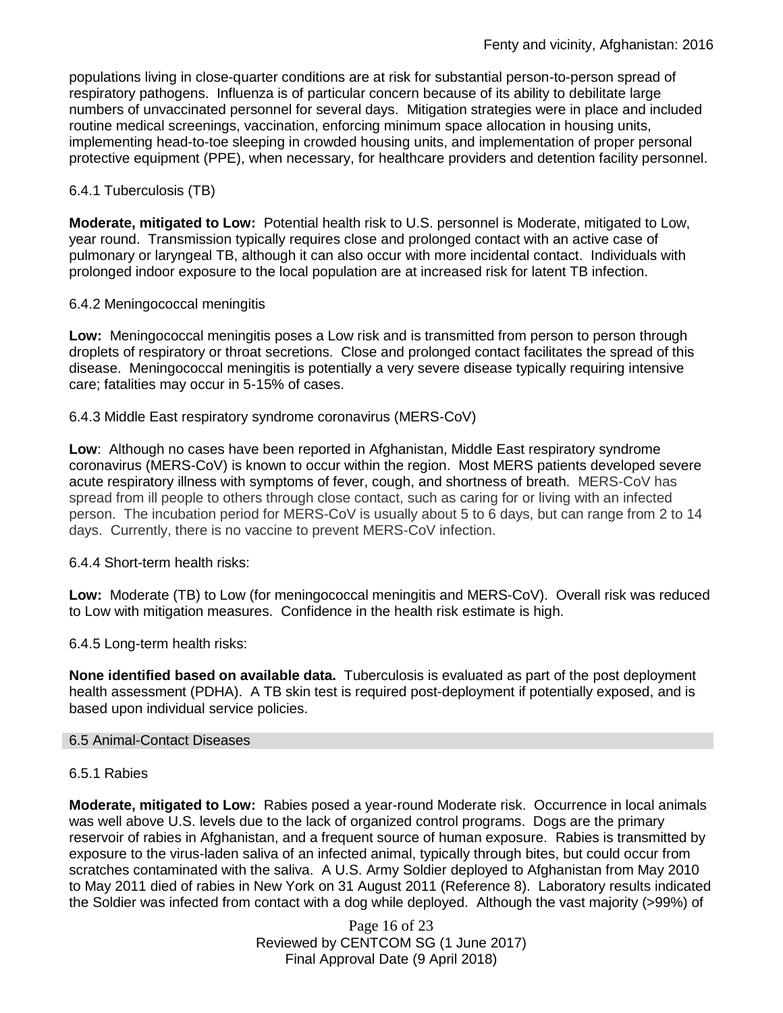populations living in close-quarter conditions are at risk for substantial person-to-person spread of respiratory pathogens. Influenza is of particular concern because of its ability to debilitate large numbers of unvaccinated personnel for several days. Mitigation strategies were in place and included routine medical screenings, vaccination, enforcing minimum space allocation in housing units, implementing head-to-toe sleeping in crowded housing units, and implementation of proper personal protective equipment (PPE), when necessary, for healthcare providers and detention facility personnel.

## 6.4.1 Tuberculosis (TB)

**Moderate, mitigated to Low:** Potential health risk to U.S. personnel is Moderate, mitigated to Low, year round. Transmission typically requires close and prolonged contact with an active case of pulmonary or laryngeal TB, although it can also occur with more incidental contact. Individuals with prolonged indoor exposure to the local population are at increased risk for latent TB infection.

## 6.4.2 Meningococcal meningitis

**Low:** Meningococcal meningitis poses a Low risk and is transmitted from person to person through droplets of respiratory or throat secretions. Close and prolonged contact facilitates the spread of this disease. Meningococcal meningitis is potentially a very severe disease typically requiring intensive care; fatalities may occur in 5-15% of cases.

#### 6.4.3 Middle East respiratory syndrome coronavirus (MERS-CoV)

**Low**: Although no cases have been reported in Afghanistan, Middle East respiratory syndrome coronavirus (MERS-CoV) is known to occur within the region. Most MERS patients developed severe acute respiratory illness with symptoms of fever, cough, and shortness of breath. MERS-CoV has spread from ill people to others through close contact, such as caring for or living with an infected person. The incubation period for MERS-CoV is usually about 5 to 6 days, but can range from 2 to 14 days. Currently, there is no vaccine to prevent MERS-CoV infection.

## 6.4.4 Short-term health risks:

**Low:** Moderate (TB) to Low (for meningococcal meningitis and MERS-CoV). Overall risk was reduced to Low with mitigation measures. Confidence in the health risk estimate is high.

6.4.5 Long-term health risks:

**None identified based on available data.** Tuberculosis is evaluated as part of the post deployment health assessment (PDHA). A TB skin test is required post-deployment if potentially exposed, and is based upon individual service policies.

#### 6.5 Animal-Contact Diseases

#### 6.5.1 Rabies

**Moderate, mitigated to Low:** Rabies posed a year-round Moderate risk. Occurrence in local animals was well above U.S. levels due to the lack of organized control programs. Dogs are the primary reservoir of rabies in Afghanistan, and a frequent source of human exposure. Rabies is transmitted by exposure to the virus-laden saliva of an infected animal, typically through bites, but could occur from scratches contaminated with the saliva. A U.S. Army Soldier deployed to Afghanistan from May 2010 to May 2011 died of rabies in New York on 31 August 2011 (Reference 8). Laboratory results indicated the Soldier was infected from contact with a dog while deployed. Although the vast majority (>99%) of

> Page 16 of 23 Reviewed by CENTCOM SG (1 June 2017) Final Approval Date (9 April 2018)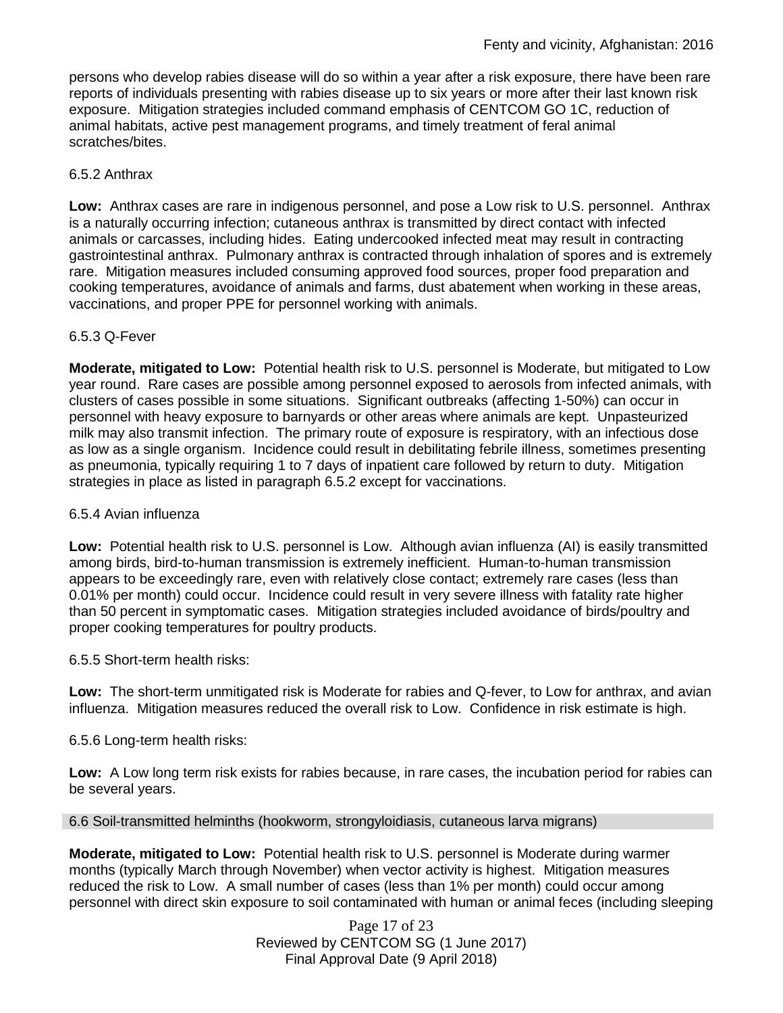persons who develop rabies disease will do so within a year after a risk exposure, there have been rare reports of individuals presenting with rabies disease up to six years or more after their last known risk exposure. Mitigation strategies included command emphasis of CENTCOM GO 1C, reduction of animal habitats, active pest management programs, and timely treatment of feral animal scratches/bites.

#### 6.5.2 Anthrax

**Low:** Anthrax cases are rare in indigenous personnel, and pose a Low risk to U.S. personnel. Anthrax is a naturally occurring infection; cutaneous anthrax is transmitted by direct contact with infected animals or carcasses, including hides. Eating undercooked infected meat may result in contracting gastrointestinal anthrax. Pulmonary anthrax is contracted through inhalation of spores and is extremely rare. Mitigation measures included consuming approved food sources, proper food preparation and cooking temperatures, avoidance of animals and farms, dust abatement when working in these areas, vaccinations, and proper PPE for personnel working with animals.

#### 6.5.3 Q-Fever

**Moderate, mitigated to Low:** Potential health risk to U.S. personnel is Moderate, but mitigated to Low year round. Rare cases are possible among personnel exposed to aerosols from infected animals, with clusters of cases possible in some situations. Significant outbreaks (affecting 1-50%) can occur in personnel with heavy exposure to barnyards or other areas where animals are kept. Unpasteurized milk may also transmit infection. The primary route of exposure is respiratory, with an infectious dose as low as a single organism. Incidence could result in debilitating febrile illness, sometimes presenting as pneumonia, typically requiring 1 to 7 days of inpatient care followed by return to duty. Mitigation strategies in place as listed in paragraph 6.5.2 except for vaccinations.

#### 6.5.4 Avian influenza

**Low:** Potential health risk to U.S. personnel is Low. Although avian influenza (AI) is easily transmitted among birds, bird-to-human transmission is extremely inefficient. Human-to-human transmission appears to be exceedingly rare, even with relatively close contact; extremely rare cases (less than 0.01% per month) could occur. Incidence could result in very severe illness with fatality rate higher than 50 percent in symptomatic cases. Mitigation strategies included avoidance of birds/poultry and proper cooking temperatures for poultry products.

6.5.5 Short-term health risks:

**Low:** The short-term unmitigated risk is Moderate for rabies and Q-fever, to Low for anthrax, and avian influenza. Mitigation measures reduced the overall risk to Low.Confidence in risk estimate is high.

6.5.6 Long-term health risks:

**Low:** A Low long term risk exists for rabies because, in rare cases, the incubation period for rabies can be several years.

6.6 Soil-transmitted helminths (hookworm, strongyloidiasis, cutaneous larva migrans)

**Moderate, mitigated to Low:** Potential health risk to U.S. personnel is Moderate during warmer months (typically March through November) when vector activity is highest. Mitigation measures reduced the risk to Low. A small number of cases (less than 1% per month) could occur among personnel with direct skin exposure to soil contaminated with human or animal feces (including sleeping

> Page 17 of 23 Reviewed by CENTCOM SG (1 June 2017) Final Approval Date (9 April 2018)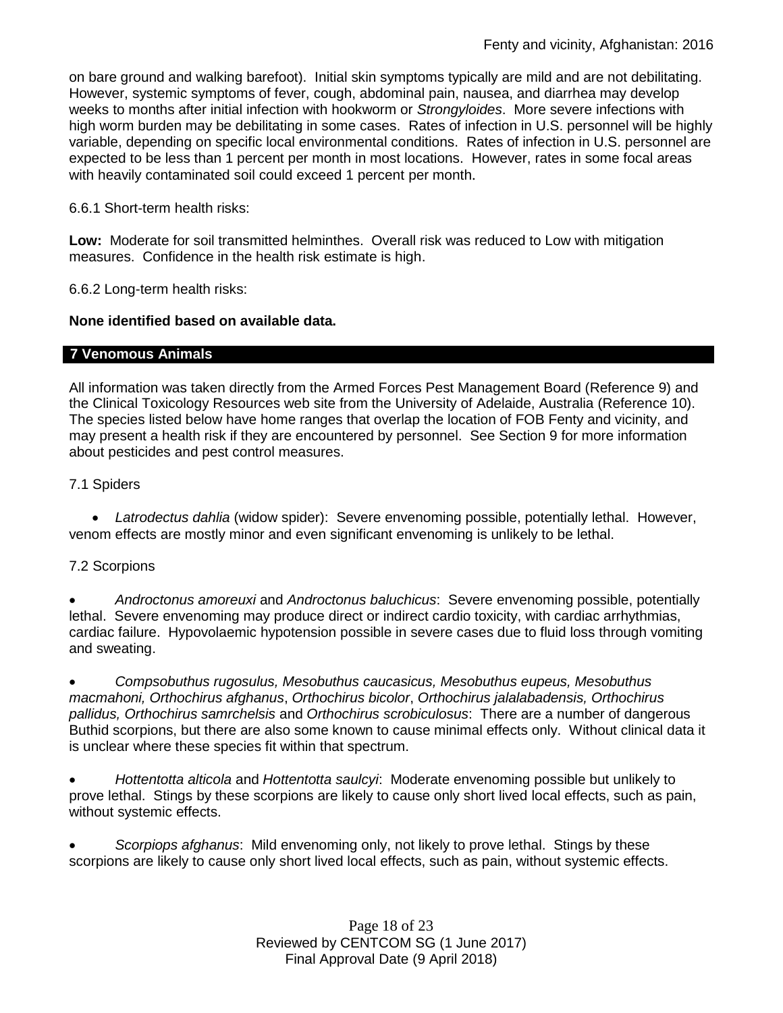on bare ground and walking barefoot). Initial skin symptoms typically are mild and are not debilitating. However, systemic symptoms of fever, cough, abdominal pain, nausea, and diarrhea may develop weeks to months after initial infection with hookworm or *Strongyloides*. More severe infections with high worm burden may be debilitating in some cases. Rates of infection in U.S. personnel will be highly variable, depending on specific local environmental conditions. Rates of infection in U.S. personnel are expected to be less than 1 percent per month in most locations. However, rates in some focal areas with heavily contaminated soil could exceed 1 percent per month.

6.6.1 Short-term health risks:

**Low:** Moderate for soil transmitted helminthes. Overall risk was reduced to Low with mitigation measures. Confidence in the health risk estimate is high.

6.6.2 Long-term health risks:

## **None identified based on available data.**

## **7 Venomous Animals**

All information was taken directly from the Armed Forces Pest Management Board (Reference 9) and the Clinical Toxicology Resources web site from the University of Adelaide, Australia (Reference 10). The species listed below have home ranges that overlap the location of FOB Fenty and vicinity, and may present a health risk if they are encountered by personnel. See Section 9 for more information about pesticides and pest control measures.

## 7.1 Spiders

 *Latrodectus dahlia* (widow spider): Severe envenoming possible, potentially lethal. However, venom effects are mostly minor and even significant envenoming is unlikely to be lethal.

## 7.2 Scorpions

 *Androctonus amoreuxi* and *Androctonus baluchicus*: Severe envenoming possible, potentially lethal. Severe envenoming may produce direct or indirect cardio toxicity, with cardiac arrhythmias, cardiac failure. Hypovolaemic hypotension possible in severe cases due to fluid loss through vomiting and sweating.

 *Compsobuthus rugosulus, Mesobuthus caucasicus, Mesobuthus eupeus, Mesobuthus macmahoni, Orthochirus afghanus*, *Orthochirus bicolor*, *Orthochirus jalalabadensis, Orthochirus pallidus, Orthochirus samrchelsis* and *Orthochirus scrobiculosus*: There are a number of dangerous Buthid scorpions, but there are also some known to cause minimal effects only. Without clinical data it is unclear where these species fit within that spectrum.

 *Hottentotta alticola* and *Hottentotta saulcyi*: Moderate envenoming possible but unlikely to prove lethal. Stings by these scorpions are likely to cause only short lived local effects, such as pain, without systemic effects.

 *Scorpiops afghanus*: Mild envenoming only, not likely to prove lethal. Stings by these scorpions are likely to cause only short lived local effects, such as pain, without systemic effects.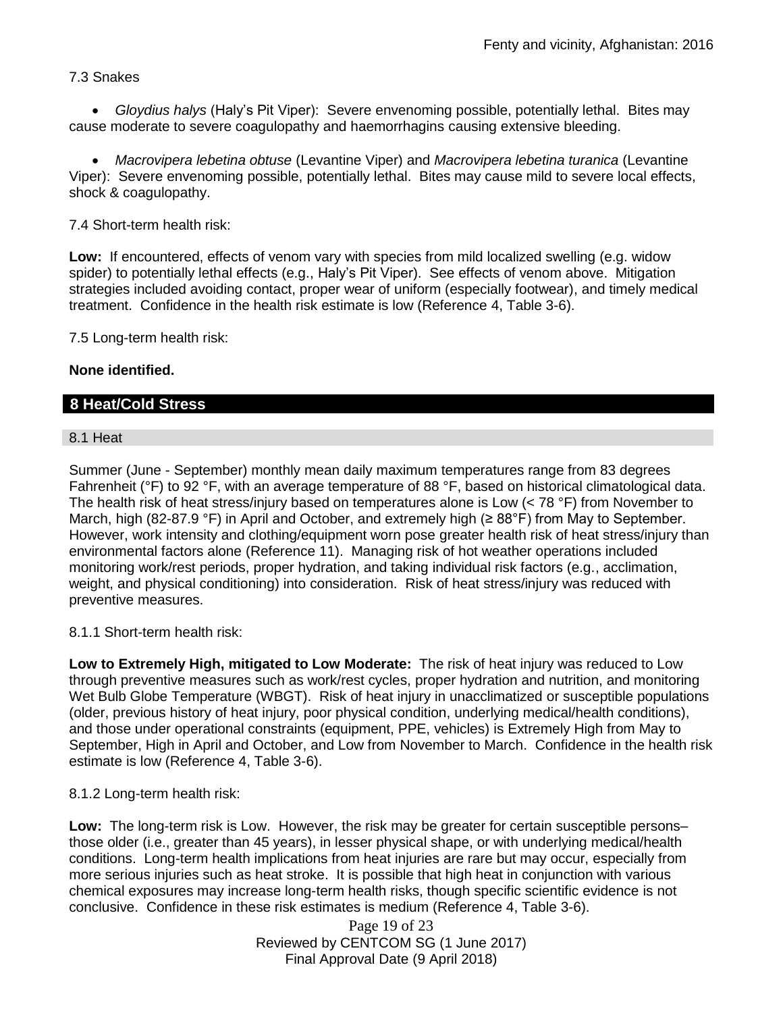## 7.3 Snakes

 *Gloydius halys* (Haly's Pit Viper): Severe envenoming possible, potentially lethal. Bites may cause moderate to severe coagulopathy and haemorrhagins causing extensive bleeding.

 *Macrovipera lebetina obtuse* (Levantine Viper) and *Macrovipera lebetina turanica* (Levantine Viper): Severe envenoming possible, potentially lethal. Bites may cause mild to severe local effects, shock & coagulopathy.

7.4 Short-term health risk:

**Low:** If encountered, effects of venom vary with species from mild localized swelling (e.g. widow spider) to potentially lethal effects (e.g., Haly's Pit Viper). See effects of venom above. Mitigation strategies included avoiding contact, proper wear of uniform (especially footwear), and timely medical treatment. Confidence in the health risk estimate is low (Reference 4, Table 3-6).

7.5 Long-term health risk:

## **None identified.**

## **8 Heat/Cold Stress**

#### 8.1 Heat

Summer (June - September) monthly mean daily maximum temperatures range from 83 degrees Fahrenheit (°F) to 92 °F, with an average temperature of 88 °F, based on historical climatological data. The health risk of heat stress/injury based on temperatures alone is Low  $(< 78 °F)$  from November to March, high (82-87.9 °F) in April and October, and extremely high ( $\geq 88^\circ$ F) from May to September. However, work intensity and clothing/equipment worn pose greater health risk of heat stress/injury than environmental factors alone (Reference 11). Managing risk of hot weather operations included monitoring work/rest periods, proper hydration, and taking individual risk factors (e.g., acclimation, weight, and physical conditioning) into consideration. Risk of heat stress/injury was reduced with preventive measures.

8.1.1 Short-term health risk:

**Low to Extremely High, mitigated to Low Moderate:** The risk of heat injury was reduced to Low through preventive measures such as work/rest cycles, proper hydration and nutrition, and monitoring Wet Bulb Globe Temperature (WBGT). Risk of heat injury in unacclimatized or susceptible populations (older, previous history of heat injury, poor physical condition, underlying medical/health conditions), and those under operational constraints (equipment, PPE, vehicles) is Extremely High from May to September, High in April and October, and Low from November to March. Confidence in the health risk estimate is low (Reference 4, Table 3-6).

8.1.2 Long-term health risk:

**Low:** The long-term risk is Low. However, the risk may be greater for certain susceptible persons– those older (i.e., greater than 45 years), in lesser physical shape, or with underlying medical/health conditions. Long-term health implications from heat injuries are rare but may occur, especially from more serious injuries such as heat stroke. It is possible that high heat in conjunction with various chemical exposures may increase long-term health risks, though specific scientific evidence is not conclusive. Confidence in these risk estimates is medium (Reference 4, Table 3-6).

> Page 19 of 23 Reviewed by CENTCOM SG (1 June 2017) Final Approval Date (9 April 2018)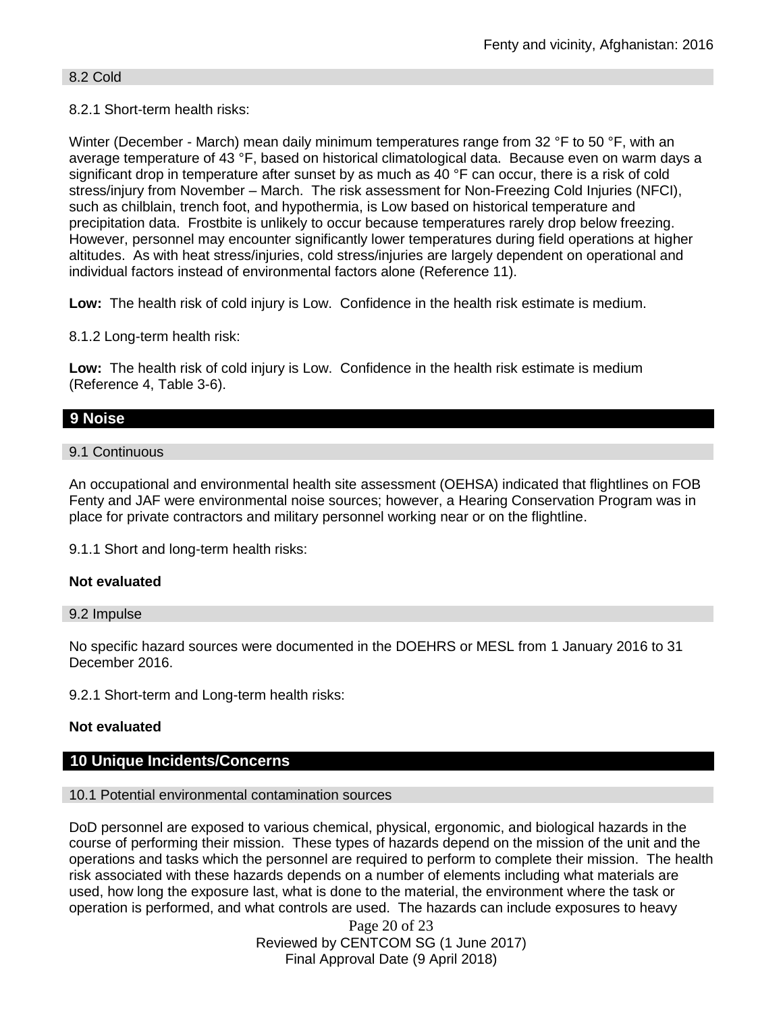#### 8.2 Cold

#### 8.2.1 Short-term health risks:

Winter (December - March) mean daily minimum temperatures range from 32 °F to 50 °F, with an average temperature of 43 °F, based on historical climatological data. Because even on warm days a significant drop in temperature after sunset by as much as 40 °F can occur, there is a risk of cold stress/injury from November – March. The risk assessment for Non-Freezing Cold Injuries (NFCI), such as chilblain, trench foot, and hypothermia, is Low based on historical temperature and precipitation data. Frostbite is unlikely to occur because temperatures rarely drop below freezing. However, personnel may encounter significantly lower temperatures during field operations at higher altitudes. As with heat stress/injuries, cold stress/injuries are largely dependent on operational and individual factors instead of environmental factors alone (Reference 11).

**Low:** The health risk of cold injury is Low. Confidence in the health risk estimate is medium.

8.1.2 Long-term health risk:

**Low:** The health risk of cold injury is Low. Confidence in the health risk estimate is medium (Reference 4, Table 3-6).

## **9 Noise**

#### 9.1 Continuous

An occupational and environmental health site assessment (OEHSA) indicated that flightlines on FOB Fenty and JAF were environmental noise sources; however, a Hearing Conservation Program was in place for private contractors and military personnel working near or on the flightline.

9.1.1 Short and long-term health risks:

#### **Not evaluated**

#### 9.2 Impulse

No specific hazard sources were documented in the DOEHRS or MESL from 1 January 2016 to 31 December 2016.

9.2.1 Short-term and Long-term health risks:

#### **Not evaluated**

#### **10 Unique Incidents/Concerns**

#### 10.1 Potential environmental contamination sources

DoD personnel are exposed to various chemical, physical, ergonomic, and biological hazards in the course of performing their mission. These types of hazards depend on the mission of the unit and the operations and tasks which the personnel are required to perform to complete their mission. The health risk associated with these hazards depends on a number of elements including what materials are used, how long the exposure last, what is done to the material, the environment where the task or operation is performed, and what controls are used. The hazards can include exposures to heavy

> Page 20 of 23 Reviewed by CENTCOM SG (1 June 2017) Final Approval Date (9 April 2018)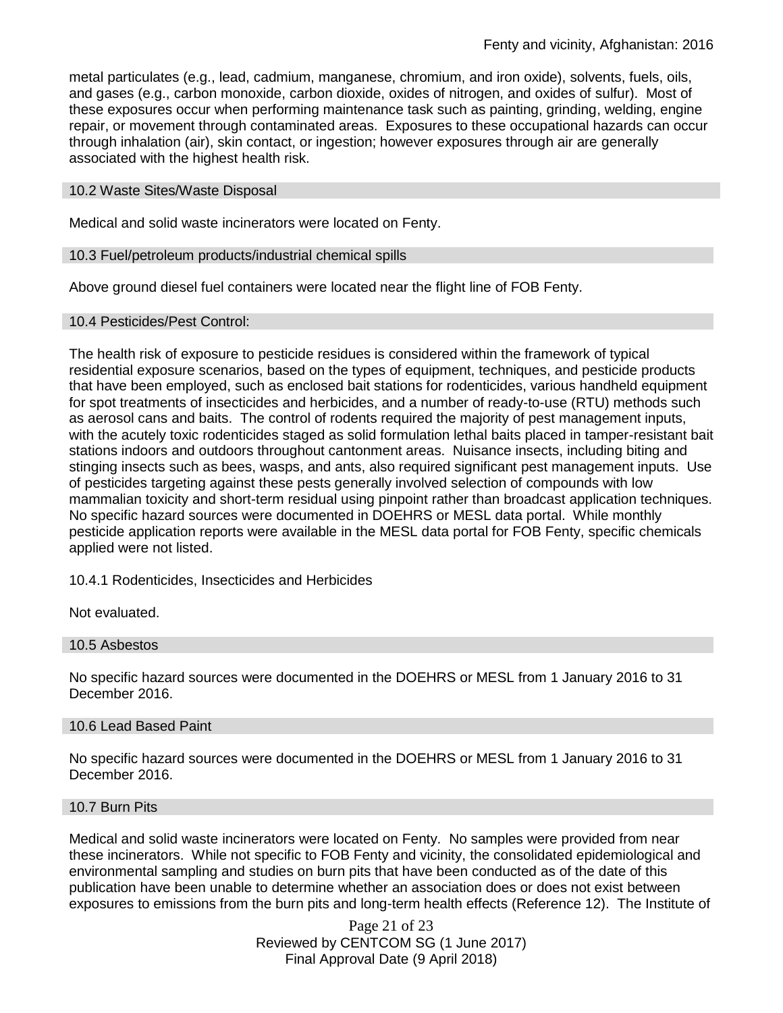metal particulates (e.g., lead, cadmium, manganese, chromium, and iron oxide), solvents, fuels, oils, and gases (e.g., carbon monoxide, carbon dioxide, oxides of nitrogen, and oxides of sulfur). Most of these exposures occur when performing maintenance task such as painting, grinding, welding, engine repair, or movement through contaminated areas. Exposures to these occupational hazards can occur through inhalation (air), skin contact, or ingestion; however exposures through air are generally associated with the highest health risk.

#### 10.2 Waste Sites/Waste Disposal

Medical and solid waste incinerators were located on Fenty.

#### 10.3 Fuel/petroleum products/industrial chemical spills

Above ground diesel fuel containers were located near the flight line of FOB Fenty.

#### 10.4 Pesticides/Pest Control:

The health risk of exposure to pesticide residues is considered within the framework of typical residential exposure scenarios, based on the types of equipment, techniques, and pesticide products that have been employed, such as enclosed bait stations for rodenticides, various handheld equipment for spot treatments of insecticides and herbicides, and a number of ready-to-use (RTU) methods such as aerosol cans and baits. The control of rodents required the majority of pest management inputs, with the acutely toxic rodenticides staged as solid formulation lethal baits placed in tamper-resistant bait stations indoors and outdoors throughout cantonment areas. Nuisance insects, including biting and stinging insects such as bees, wasps, and ants, also required significant pest management inputs. Use of pesticides targeting against these pests generally involved selection of compounds with low mammalian toxicity and short-term residual using pinpoint rather than broadcast application techniques. No specific hazard sources were documented in DOEHRS or MESL data portal. While monthly pesticide application reports were available in the MESL data portal for FOB Fenty, specific chemicals applied were not listed.

10.4.1 Rodenticides, Insecticides and Herbicides

Not evaluated.

#### 10.5 Asbestos

No specific hazard sources were documented in the DOEHRS or MESL from 1 January 2016 to 31 December 2016.

#### 10.6 Lead Based Paint

No specific hazard sources were documented in the DOEHRS or MESL from 1 January 2016 to 31 December 2016.

#### 10.7 Burn Pits

Medical and solid waste incinerators were located on Fenty. No samples were provided from near these incinerators. While not specific to FOB Fenty and vicinity, the consolidated epidemiological and environmental sampling and studies on burn pits that have been conducted as of the date of this publication have been unable to determine whether an association does or does not exist between exposures to emissions from the burn pits and long-term health effects (Reference 12). The Institute of

> Page 21 of 23 Reviewed by CENTCOM SG (1 June 2017) Final Approval Date (9 April 2018)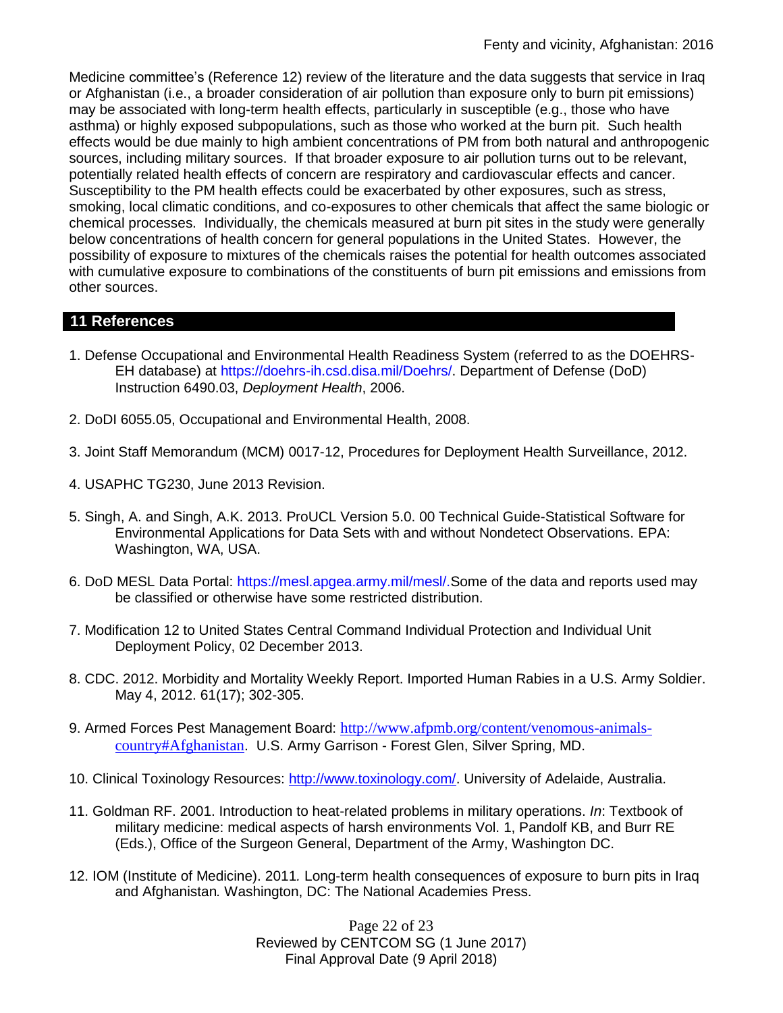Medicine committee's (Reference 12) review of the literature and the data suggests that service in Iraq or Afghanistan (i.e., a broader consideration of air pollution than exposure only to burn pit emissions) may be associated with long-term health effects, particularly in susceptible (e.g., those who have asthma) or highly exposed subpopulations, such as those who worked at the burn pit. Such health effects would be due mainly to high ambient concentrations of PM from both natural and anthropogenic sources, including military sources. If that broader exposure to air pollution turns out to be relevant, potentially related health effects of concern are respiratory and cardiovascular effects and cancer. Susceptibility to the PM health effects could be exacerbated by other exposures, such as stress, smoking, local climatic conditions, and co-exposures to other chemicals that affect the same biologic or chemical processes. Individually, the chemicals measured at burn pit sites in the study were generally below concentrations of health concern for general populations in the United States. However, the possibility of exposure to mixtures of the chemicals raises the potential for health outcomes associated with cumulative exposure to combinations of the constituents of burn pit emissions and emissions from other sources.

## **11 References**

- 1. Defense Occupational and Environmental Health Readiness System (referred to as the DOEHRS-EH database) at https://doehrs-ih.csd.disa.mil/Doehrs/. Department of Defense (DoD) Instruction 6490.03, *Deployment Health*, 2006.
- 2. DoDI 6055.05, Occupational and Environmental Health, 2008.
- 3. Joint Staff Memorandum (MCM) 0017-12, Procedures for Deployment Health Surveillance, 2012.
- 4. USAPHC TG230, June 2013 Revision.
- 5. Singh, A. and Singh, A.K. 2013. ProUCL Version 5.0. 00 Technical Guide-Statistical Software for Environmental Applications for Data Sets with and without Nondetect Observations. EPA: Washington, WA, USA.
- 6. DoD MESL Data Portal: https://mesl.apgea.army.mil/mesl/.Some of the data and reports used may be classified or otherwise have some restricted distribution.
- 7. Modification 12 to United States Central Command Individual Protection and Individual Unit Deployment Policy, 02 December 2013.
- 8. CDC. 2012. Morbidity and Mortality Weekly Report. Imported Human Rabies in a U.S. Army Soldier. May 4, 2012. 61(17); 302-305.
- 9. Armed Forces Pest Management Board: [http://www.afpmb.org/content/venomous-animals](http://www.afpmb.org/content/venomous-animals-country#Afghanistan)[country#Afghanistan](http://www.afpmb.org/content/venomous-animals-country#Afghanistan). U.S. Army Garrison - Forest Glen, Silver Spring, MD.
- 10. Clinical Toxinology Resources: [http://www.toxinology.com/.](http://www.toxinology.com/) University of Adelaide, Australia.
- 11. Goldman RF. 2001. Introduction to heat-related problems in military operations. *In*: Textbook of military medicine: medical aspects of harsh environments Vol. 1, Pandolf KB, and Burr RE (Eds.), Office of the Surgeon General, Department of the Army, Washington DC.
- 12. IOM (Institute of Medicine). 2011*.* Long-term health consequences of exposure to burn pits in Iraq and Afghanistan*.* Washington, DC: The National Academies Press.

Page 22 of 23 Reviewed by CENTCOM SG (1 June 2017) Final Approval Date (9 April 2018)